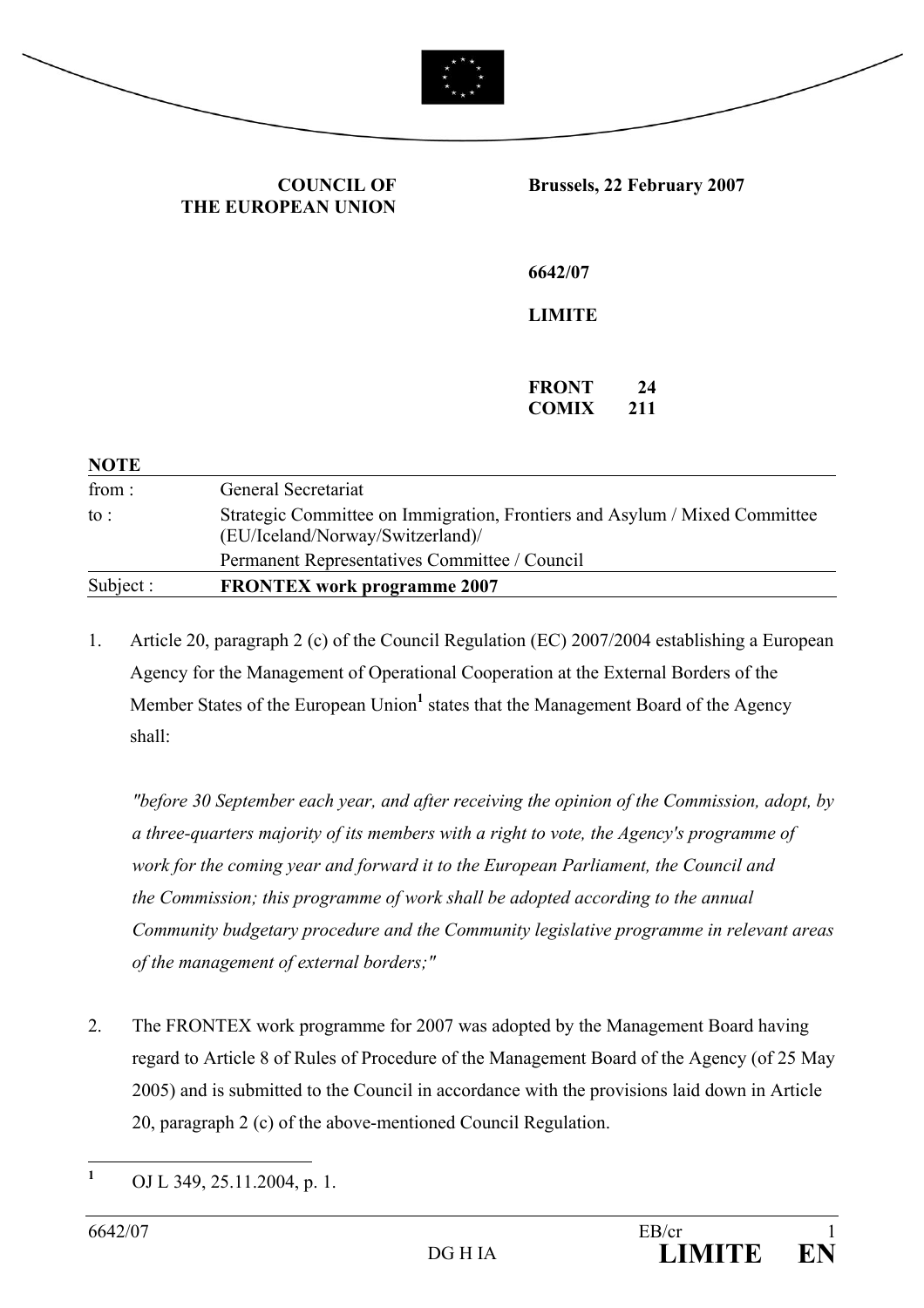

**COUNCIL OF THE EUROPEAN UNION** **Brussels, 22 February 2007** 

**6642/07** 

**LIMITE** 

**FRONT 24 COMIX 211** 

| General Secretariat                                                                                            |
|----------------------------------------------------------------------------------------------------------------|
| Strategic Committee on Immigration, Frontiers and Asylum / Mixed Committee<br>(EU/Iceland/Norway/Switzerland)/ |
| Permanent Representatives Committee / Council                                                                  |
| <b>FRONTEX</b> work programme 2007                                                                             |
|                                                                                                                |

1. Article 20, paragraph 2 (c) of the Council Regulation (EC) 2007/2004 establishing a European Agency for the Management of Operational Cooperation at the External Borders of the Member States of the European Union<sup>1</sup> states that the Management Board of the Agency shall:

*"before 30 September each year, and after receiving the opinion of the Commission, adopt, by a three-quarters majority of its members with a right to vote, the Agency's programme of work for the coming year and forward it to the European Parliament, the Council and the Commission; this programme of work shall be adopted according to the annual Community budgetary procedure and the Community legislative programme in relevant areas of the management of external borders;"* 

2. The FRONTEX work programme for 2007 was adopted by the Management Board having regard to Article 8 of Rules of Procedure of the Management Board of the Agency (of 25 May 2005) and is submitted to the Council in accordance with the provisions laid down in Article 20, paragraph 2 (c) of the above-mentioned Council Regulation.

 **1** OJ L 349, 25.11.2004, p. 1.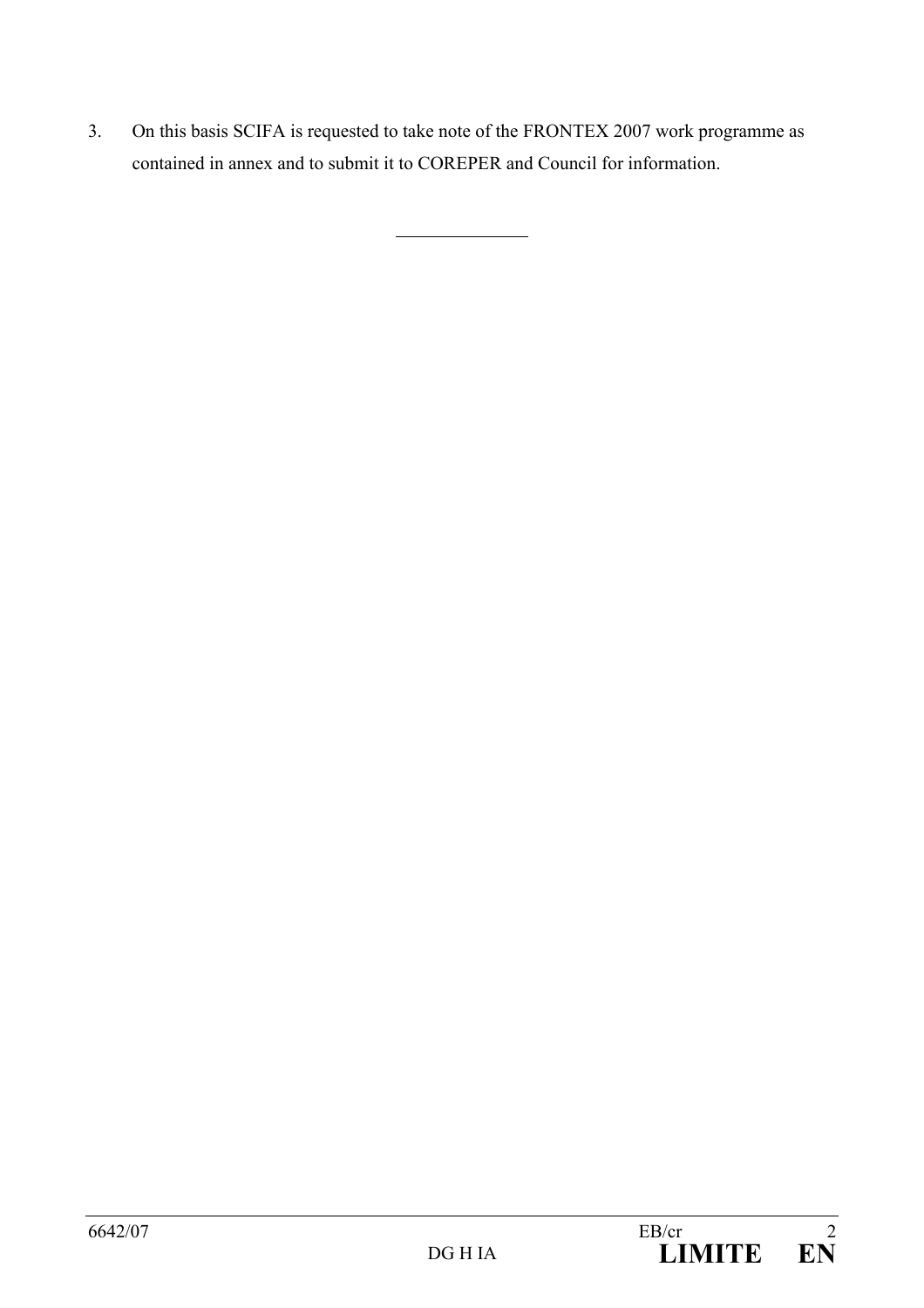3. On this basis SCIFA is requested to take note of the FRONTEX 2007 work programme as contained in annex and to submit it to COREPER and Council for information.

l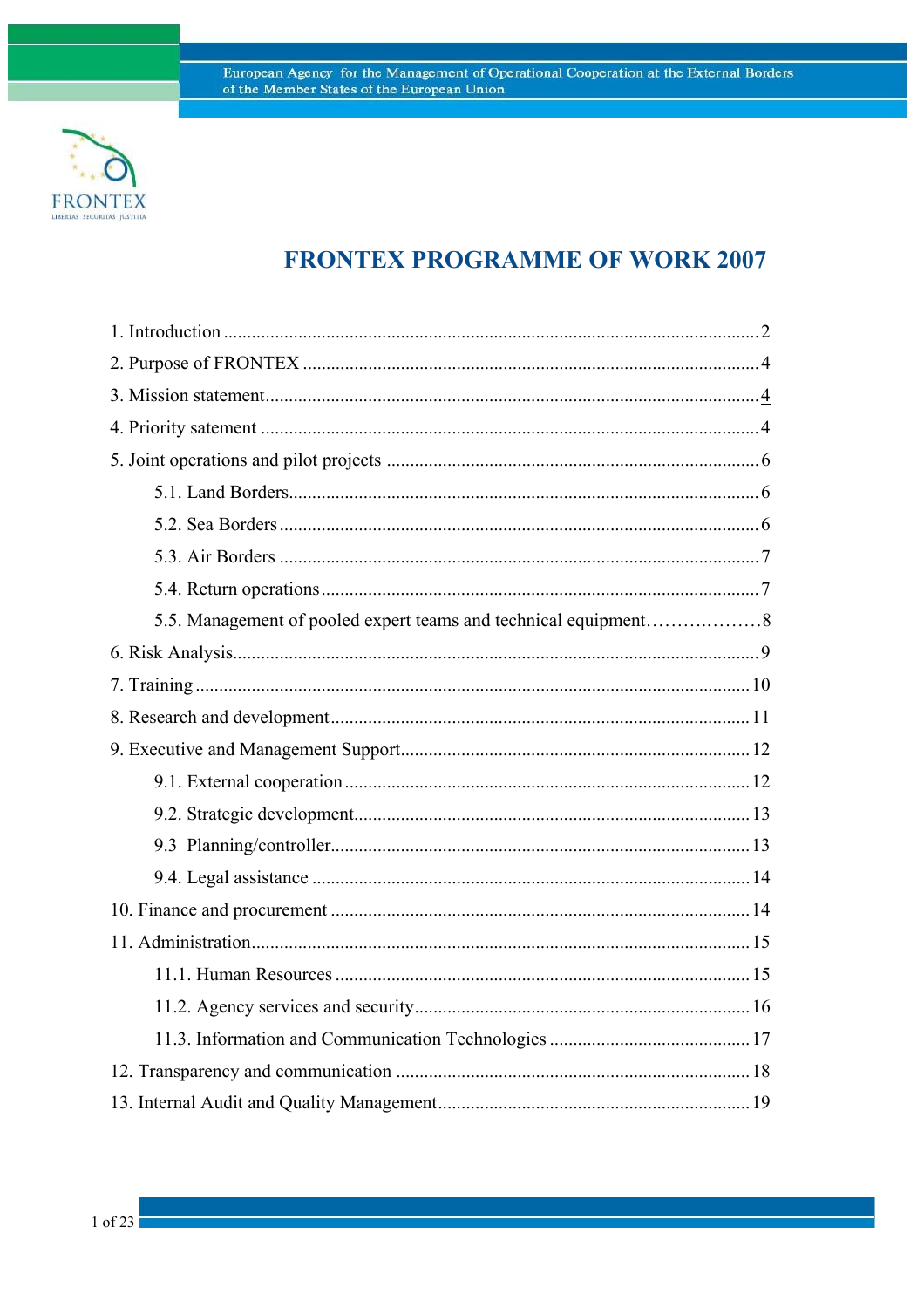

# **FRONTEX PROGRAMME OF WORK 2007**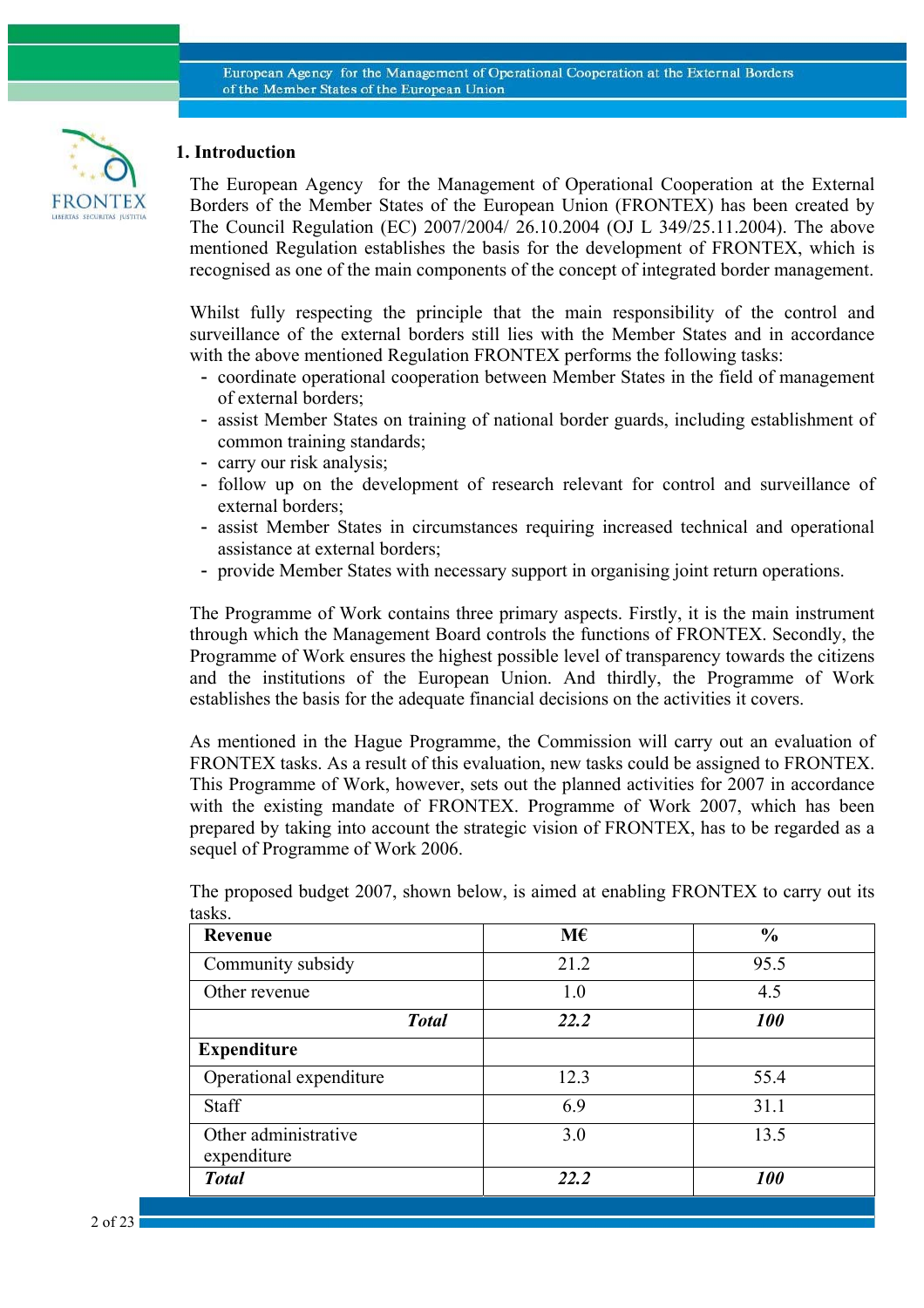

# **1. Introduction**

The European Agency for the Management of Operational Cooperation at the External Borders of the Member States of the European Union (FRONTEX) has been created by The Council Regulation (EC) 2007/2004/ 26.10.2004 (OJ L 349/25.11.2004). The above mentioned Regulation establishes the basis for the development of FRONTEX, which is recognised as one of the main components of the concept of integrated border management.

Whilst fully respecting the principle that the main responsibility of the control and surveillance of the external borders still lies with the Member States and in accordance with the above mentioned Regulation FRONTEX performs the following tasks:

- coordinate operational cooperation between Member States in the field of management of external borders;
- assist Member States on training of national border guards, including establishment of common training standards;
- carry our risk analysis;
- follow up on the development of research relevant for control and surveillance of external borders;
- assist Member States in circumstances requiring increased technical and operational assistance at external borders;
- provide Member States with necessary support in organising joint return operations.

The Programme of Work contains three primary aspects. Firstly, it is the main instrument through which the Management Board controls the functions of FRONTEX. Secondly, the Programme of Work ensures the highest possible level of transparency towards the citizens and the institutions of the European Union. And thirdly, the Programme of Work establishes the basis for the adequate financial decisions on the activities it covers.

As mentioned in the Hague Programme, the Commission will carry out an evaluation of FRONTEX tasks. As a result of this evaluation, new tasks could be assigned to FRONTEX. This Programme of Work, however, sets out the planned activities for 2007 in accordance with the existing mandate of FRONTEX. Programme of Work 2007, which has been prepared by taking into account the strategic vision of FRONTEX, has to be regarded as a sequel of Programme of Work 2006.

| <b>Revenue</b>                      | M€   | $\frac{0}{0}$     |
|-------------------------------------|------|-------------------|
| Community subsidy                   | 21.2 | 95.5              |
| Other revenue                       | 1.0  | 4.5               |
| <b>Total</b>                        | 22.2 | <i><b>100</b></i> |
| <b>Expenditure</b>                  |      |                   |
| Operational expenditure             | 12.3 | 55.4              |
| <b>Staff</b>                        | 6.9  | 31.1              |
| Other administrative<br>expenditure | 3.0  | 13.5              |
| <b>Total</b>                        | 22.2 | <b>100</b>        |

The proposed budget 2007, shown below, is aimed at enabling FRONTEX to carry out its tasks.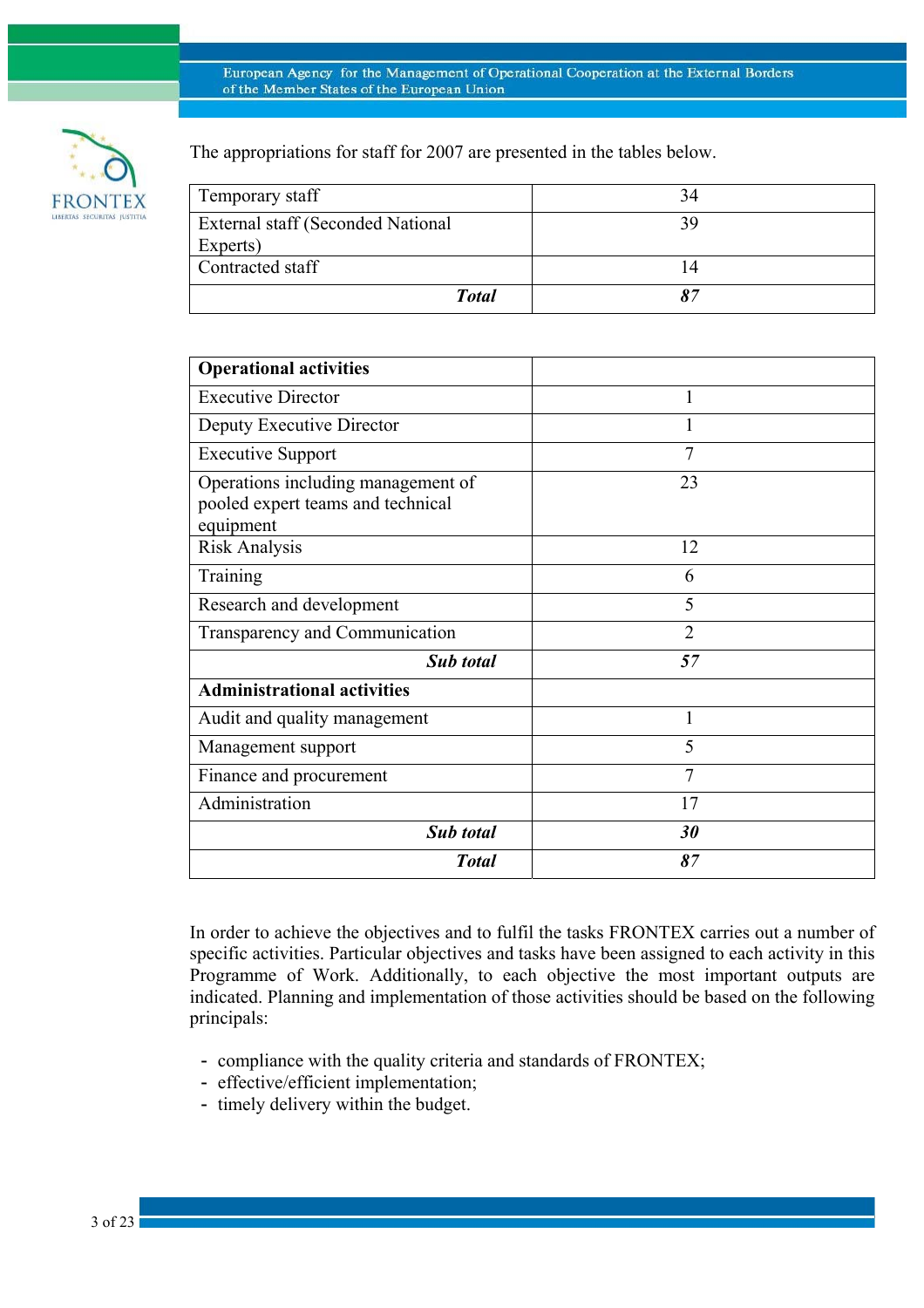

The appropriations for staff for 2007 are presented in the tables below.

| Temporary staff                   | 34 |
|-----------------------------------|----|
| External staff (Seconded National | 39 |
| Experts)                          |    |
| Contracted staff                  |    |
| <b>Total</b>                      | 87 |

| <b>Operational activities</b>                                                        |                |
|--------------------------------------------------------------------------------------|----------------|
| <b>Executive Director</b>                                                            | 1              |
| Deputy Executive Director                                                            |                |
| <b>Executive Support</b>                                                             | $\overline{7}$ |
| Operations including management of<br>pooled expert teams and technical<br>equipment | 23             |
| <b>Risk Analysis</b>                                                                 | 12             |
| Training                                                                             | 6              |
| Research and development                                                             | 5              |
| Transparency and Communication                                                       | $\overline{2}$ |
| Sub total                                                                            | 57             |
| <b>Administrational activities</b>                                                   |                |
| Audit and quality management                                                         | 1              |
| Management support                                                                   | 5              |
| Finance and procurement                                                              | $\overline{7}$ |
| Administration                                                                       | 17             |
| <b>Sub</b> total                                                                     | 30             |
| <b>Total</b>                                                                         | 87             |

In order to achieve the objectives and to fulfil the tasks FRONTEX carries out a number of specific activities. Particular objectives and tasks have been assigned to each activity in this Programme of Work. Additionally, to each objective the most important outputs are indicated. Planning and implementation of those activities should be based on the following principals:

- compliance with the quality criteria and standards of FRONTEX;
- effective/efficient implementation;
- timely delivery within the budget.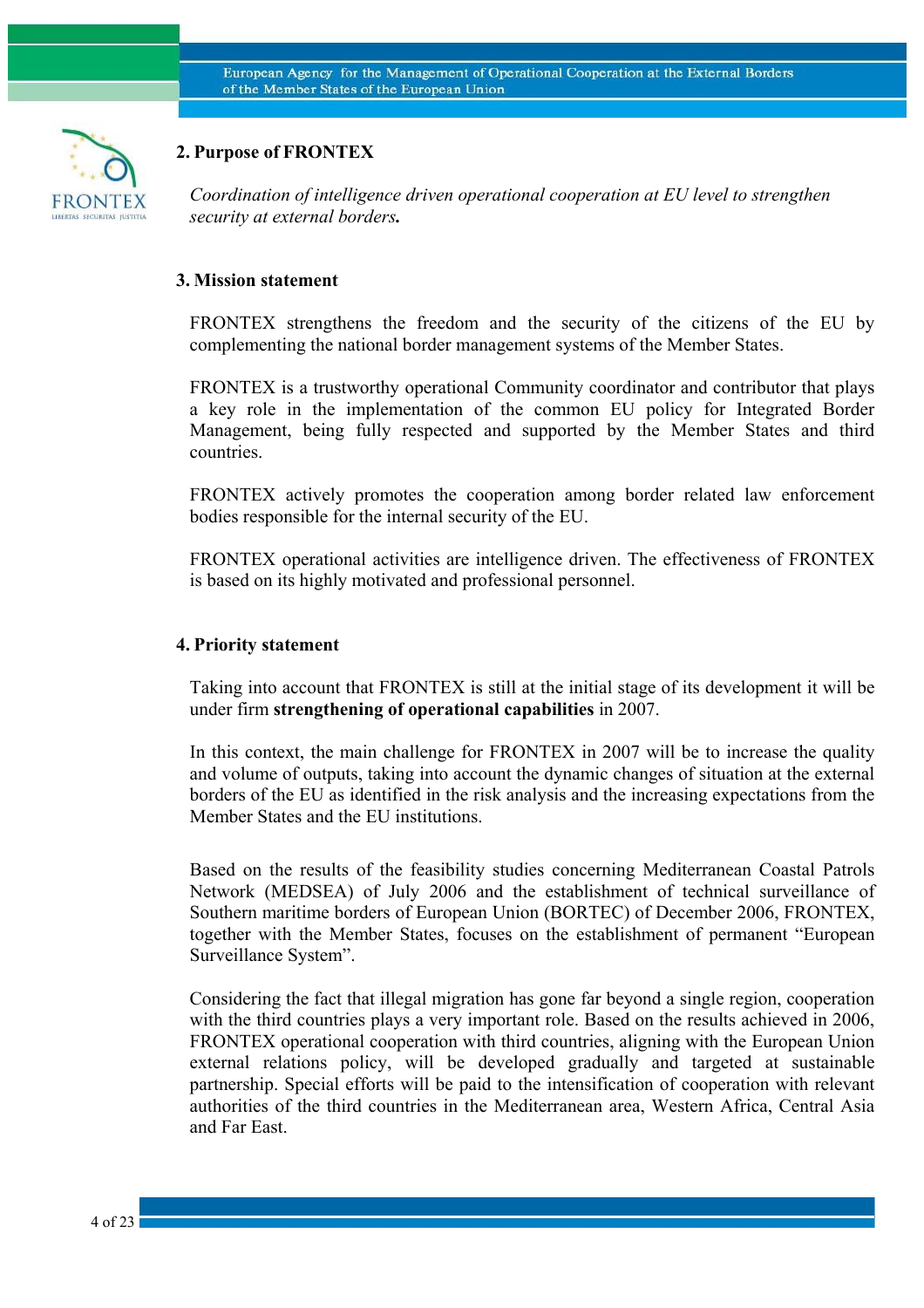

# **2. Purpose of FRONTEX**

*Coordination of intelligence driven operational cooperation at EU level to strengthen security at external borders.* 

### **3. Mission statement**

FRONTEX strengthens the freedom and the security of the citizens of the EU by complementing the national border management systems of the Member States.

FRONTEX is a trustworthy operational Community coordinator and contributor that plays a key role in the implementation of the common EU policy for Integrated Border Management, being fully respected and supported by the Member States and third countries.

FRONTEX actively promotes the cooperation among border related law enforcement bodies responsible for the internal security of the EU.

FRONTEX operational activities are intelligence driven. The effectiveness of FRONTEX is based on its highly motivated and professional personnel.

### **4. Priority statement**

Taking into account that FRONTEX is still at the initial stage of its development it will be under firm **strengthening of operational capabilities** in 2007.

In this context, the main challenge for FRONTEX in 2007 will be to increase the quality and volume of outputs, taking into account the dynamic changes of situation at the external borders of the EU as identified in the risk analysis and the increasing expectations from the Member States and the EU institutions.

Based on the results of the feasibility studies concerning Mediterranean Coastal Patrols Network (MEDSEA) of July 2006 and the establishment of technical surveillance of Southern maritime borders of European Union (BORTEC) of December 2006, FRONTEX, together with the Member States, focuses on the establishment of permanent "European Surveillance System".

Considering the fact that illegal migration has gone far beyond a single region, cooperation with the third countries plays a very important role. Based on the results achieved in 2006, FRONTEX operational cooperation with third countries, aligning with the European Union external relations policy, will be developed gradually and targeted at sustainable partnership. Special efforts will be paid to the intensification of cooperation with relevant authorities of the third countries in the Mediterranean area, Western Africa, Central Asia and Far East.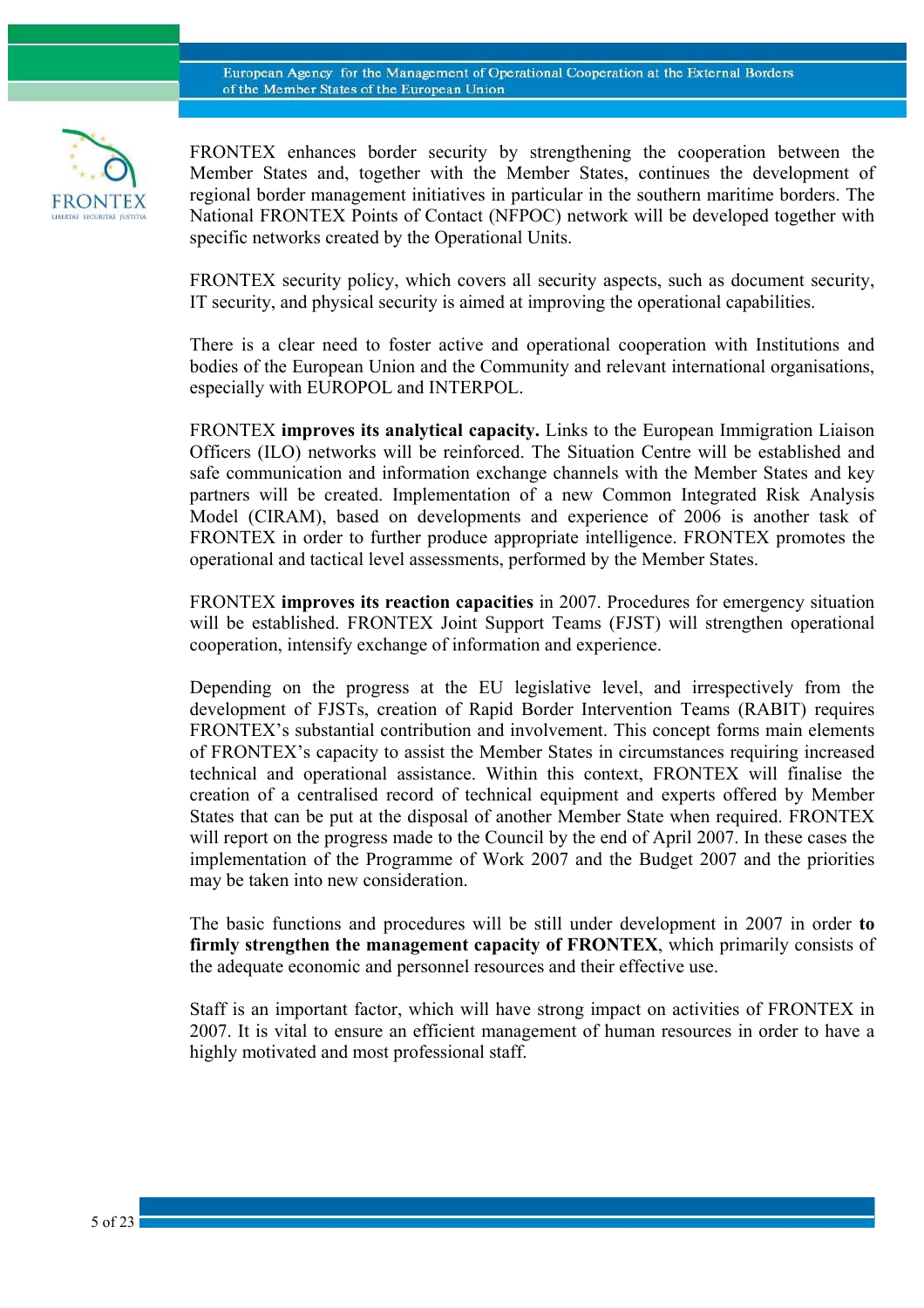

FRONTEX enhances border security by strengthening the cooperation between the Member States and, together with the Member States, continues the development of regional border management initiatives in particular in the southern maritime borders. The National FRONTEX Points of Contact (NFPOC) network will be developed together with specific networks created by the Operational Units.

FRONTEX security policy, which covers all security aspects, such as document security, IT security, and physical security is aimed at improving the operational capabilities.

There is a clear need to foster active and operational cooperation with Institutions and bodies of the European Union and the Community and relevant international organisations, especially with EUROPOL and INTERPOL.

FRONTEX **improves its analytical capacity.** Links to the European Immigration Liaison Officers (ILO) networks will be reinforced. The Situation Centre will be established and safe communication and information exchange channels with the Member States and key partners will be created. Implementation of a new Common Integrated Risk Analysis Model (CIRAM), based on developments and experience of 2006 is another task of FRONTEX in order to further produce appropriate intelligence. FRONTEX promotes the operational and tactical level assessments, performed by the Member States.

FRONTEX **improves its reaction capacities** in 2007. Procedures for emergency situation will be established. FRONTEX Joint Support Teams (FJST) will strengthen operational cooperation, intensify exchange of information and experience.

Depending on the progress at the EU legislative level, and irrespectively from the development of FJSTs, creation of Rapid Border Intervention Teams (RABIT) requires FRONTEX's substantial contribution and involvement. This concept forms main elements of FRONTEX's capacity to assist the Member States in circumstances requiring increased technical and operational assistance. Within this context, FRONTEX will finalise the creation of a centralised record of technical equipment and experts offered by Member States that can be put at the disposal of another Member State when required. FRONTEX will report on the progress made to the Council by the end of April 2007. In these cases the implementation of the Programme of Work 2007 and the Budget 2007 and the priorities may be taken into new consideration.

The basic functions and procedures will be still under development in 2007 in order **to firmly strengthen the management capacity of FRONTEX**, which primarily consists of the adequate economic and personnel resources and their effective use.

Staff is an important factor, which will have strong impact on activities of FRONTEX in 2007. It is vital to ensure an efficient management of human resources in order to have a highly motivated and most professional staff.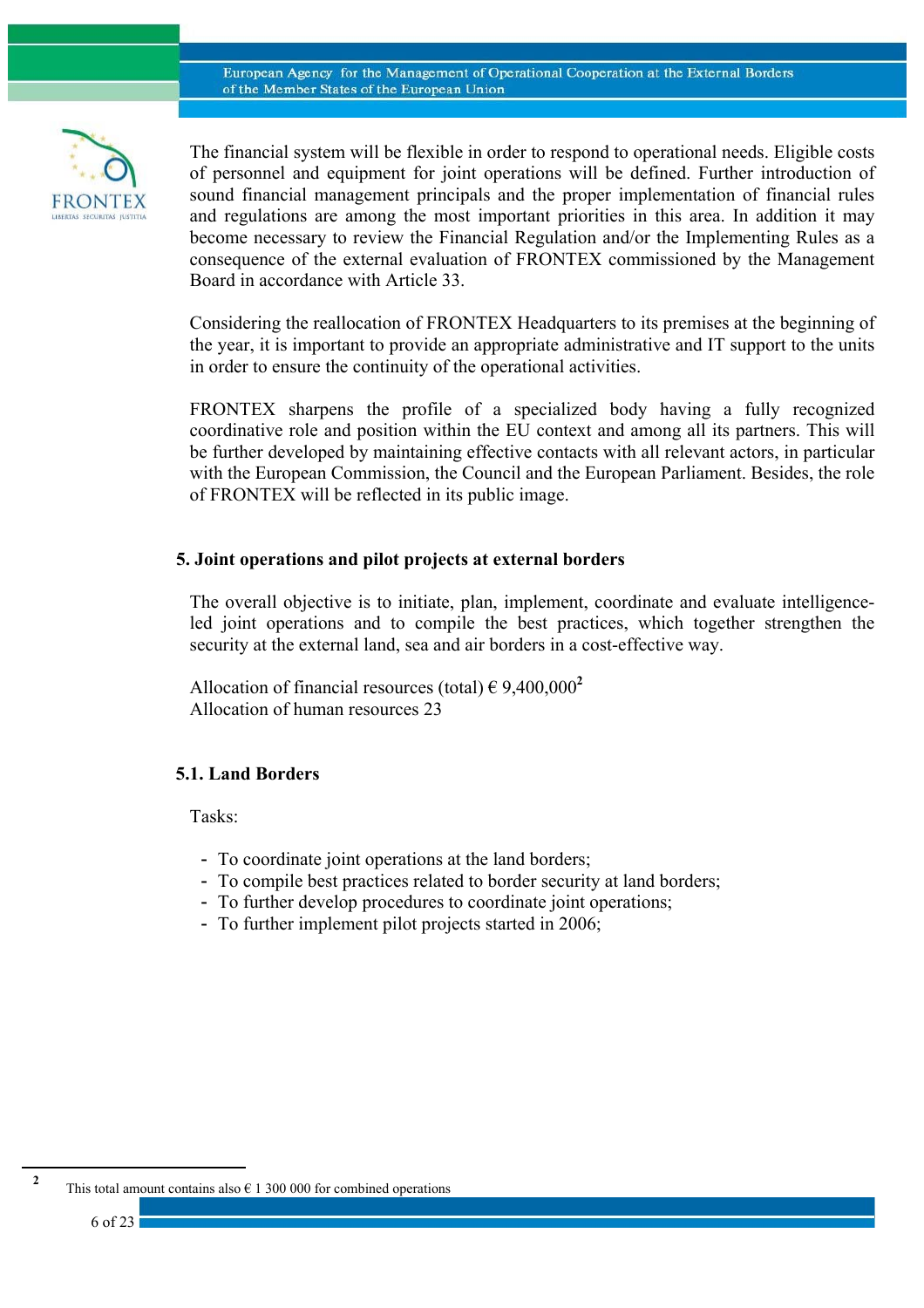

The financial system will be flexible in order to respond to operational needs. Eligible costs of personnel and equipment for joint operations will be defined. Further introduction of sound financial management principals and the proper implementation of financial rules and regulations are among the most important priorities in this area. In addition it may become necessary to review the Financial Regulation and/or the Implementing Rules as a consequence of the external evaluation of FRONTEX commissioned by the Management Board in accordance with Article 33.

Considering the reallocation of FRONTEX Headquarters to its premises at the beginning of the year, it is important to provide an appropriate administrative and IT support to the units in order to ensure the continuity of the operational activities.

FRONTEX sharpens the profile of a specialized body having a fully recognized coordinative role and position within the EU context and among all its partners. This will be further developed by maintaining effective contacts with all relevant actors, in particular with the European Commission, the Council and the European Parliament. Besides, the role of FRONTEX will be reflected in its public image.

### **5. Joint operations and pilot projects at external borders**

The overall objective is to initiate, plan, implement, coordinate and evaluate intelligenceled joint operations and to compile the best practices, which together strengthen the security at the external land, sea and air borders in a cost-effective way.

Allocation of financial resources (total)  $\epsilon$  9,400,000<sup>2</sup> Allocation of human resources 23

### **5.1. Land Borders**

Tasks:

- To coordinate joint operations at the land borders;
- To compile best practices related to border security at land borders;
- To further develop procedures to coordinate joint operations;
- To further implement pilot projects started in 2006;

6 of 23

 $\overline{a}$ **2**

This total amount contains also  $\epsilon$  1 300 000 for combined operations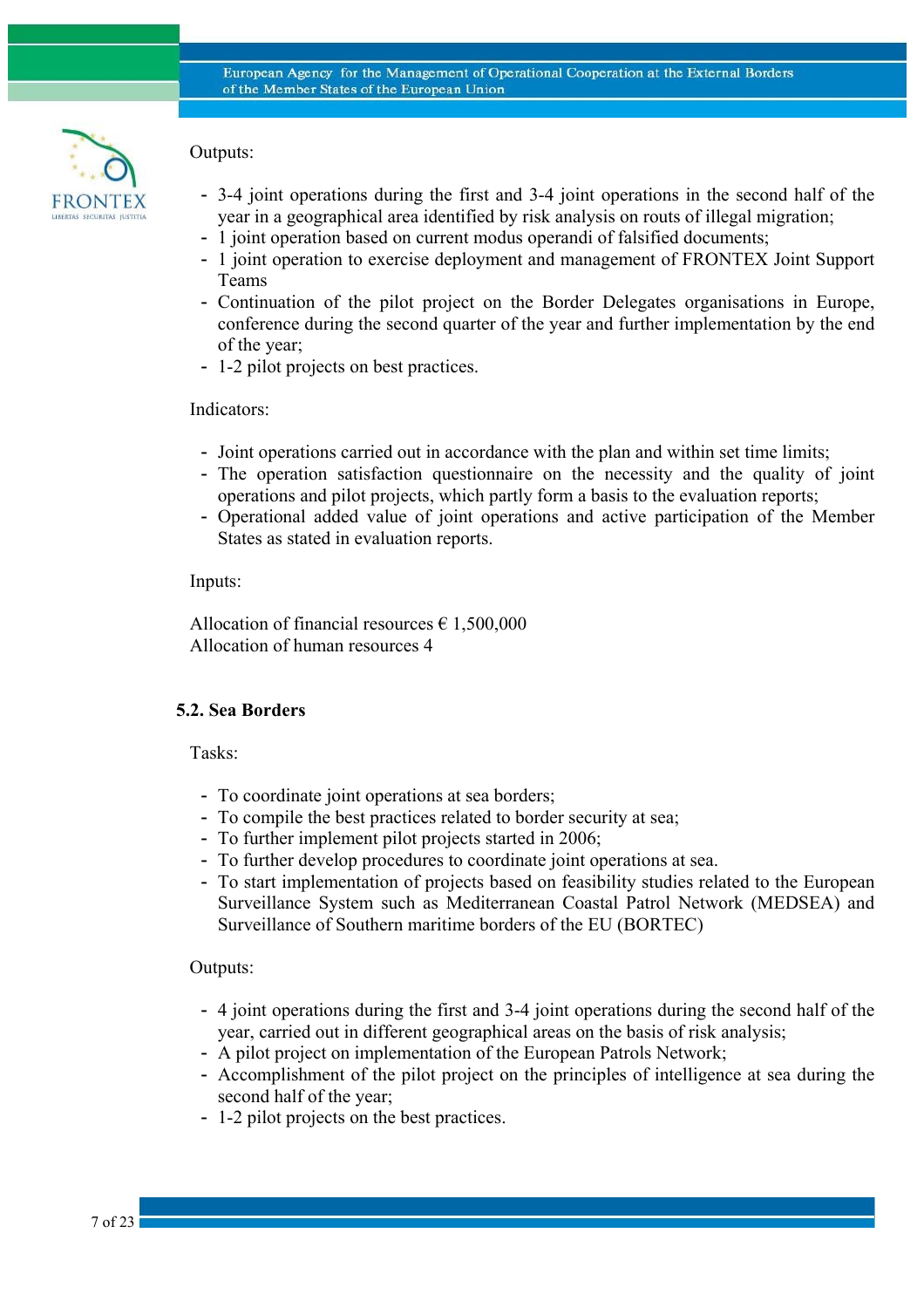

# Outputs:

- 3-4 joint operations during the first and 3-4 joint operations in the second half of the year in a geographical area identified by risk analysis on routs of illegal migration;
- 1 joint operation based on current modus operandi of falsified documents;
- 1 joint operation to exercise deployment and management of FRONTEX Joint Support Teams
- Continuation of the pilot project on the Border Delegates organisations in Europe, conference during the second quarter of the year and further implementation by the end of the year;
- 1-2 pilot projects on best practices.

### Indicators:

- Joint operations carried out in accordance with the plan and within set time limits;
- The operation satisfaction questionnaire on the necessity and the quality of joint operations and pilot projects, which partly form a basis to the evaluation reports;
- Operational added value of joint operations and active participation of the Member States as stated in evaluation reports.

### Inputs:

Allocation of financial resources  $\epsilon$  1,500,000 Allocation of human resources 4

### **5.2. Sea Borders**

Tasks:

- To coordinate joint operations at sea borders;
- To compile the best practices related to border security at sea;
- To further implement pilot projects started in 2006;
- To further develop procedures to coordinate joint operations at sea.
- To start implementation of projects based on feasibility studies related to the European Surveillance System such as Mediterranean Coastal Patrol Network (MEDSEA) and Surveillance of Southern maritime borders of the EU (BORTEC)

### Outputs:

- 4 joint operations during the first and 3-4 joint operations during the second half of the year, carried out in different geographical areas on the basis of risk analysis;
- A pilot project on implementation of the European Patrols Network;
- Accomplishment of the pilot project on the principles of intelligence at sea during the second half of the year;
- 1-2 pilot projects on the best practices.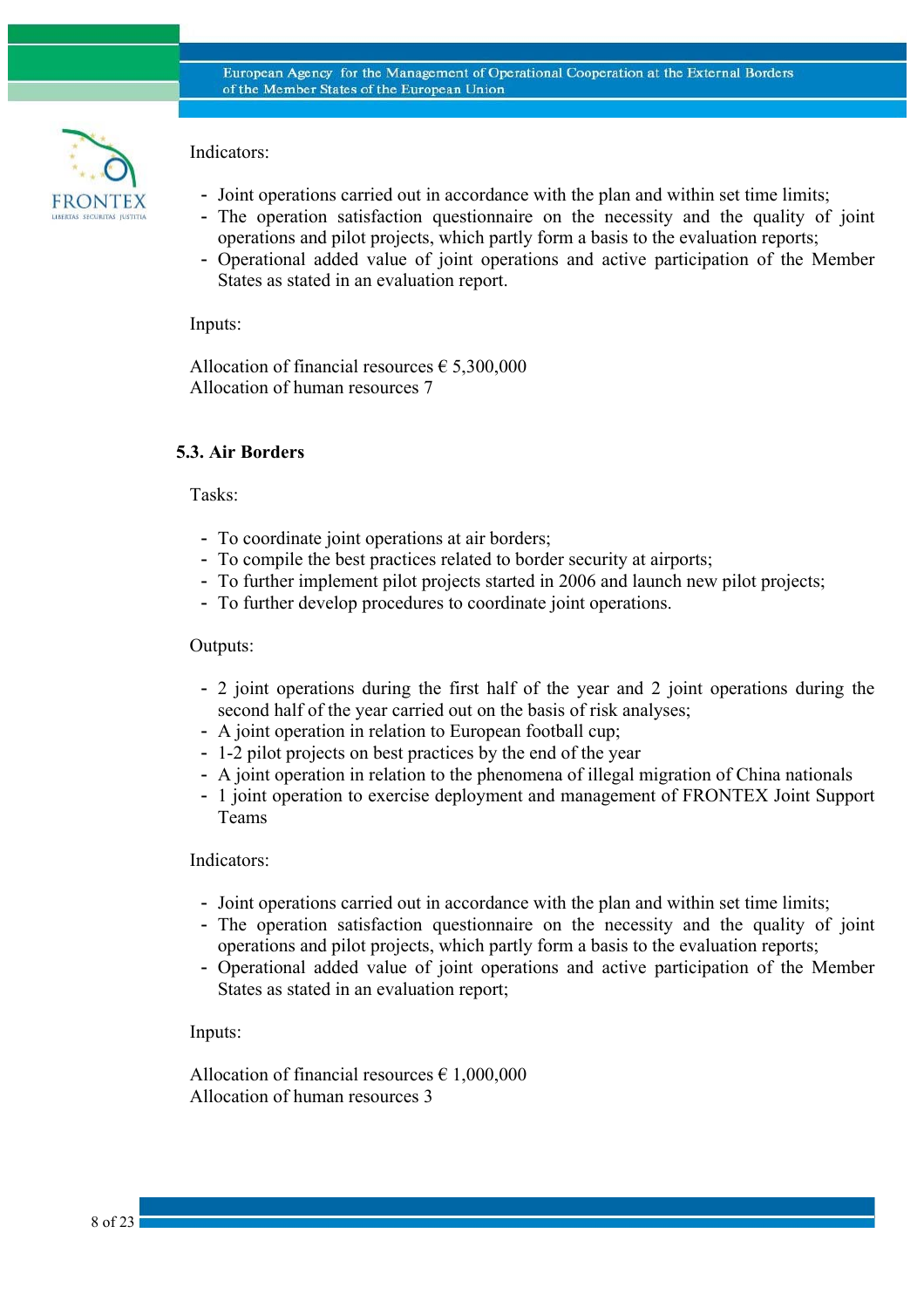

# Indicators:

- Joint operations carried out in accordance with the plan and within set time limits;
- The operation satisfaction questionnaire on the necessity and the quality of joint operations and pilot projects, which partly form a basis to the evaluation reports;
- Operational added value of joint operations and active participation of the Member States as stated in an evaluation report.

### Inputs:

Allocation of financial resources  $\epsilon$  5,300,000 Allocation of human resources 7

# **5.3. Air Borders**

### Tasks:

- To coordinate joint operations at air borders;
- To compile the best practices related to border security at airports;
- To further implement pilot projects started in 2006 and launch new pilot projects;
- To further develop procedures to coordinate joint operations.

### Outputs:

- 2 joint operations during the first half of the year and 2 joint operations during the second half of the year carried out on the basis of risk analyses;
- A joint operation in relation to European football cup;
- 1-2 pilot projects on best practices by the end of the year
- A joint operation in relation to the phenomena of illegal migration of China nationals
- 1 joint operation to exercise deployment and management of FRONTEX Joint Support Teams

### Indicators:

- Joint operations carried out in accordance with the plan and within set time limits;
- The operation satisfaction questionnaire on the necessity and the quality of joint operations and pilot projects, which partly form a basis to the evaluation reports;
- Operational added value of joint operations and active participation of the Member States as stated in an evaluation report;

### Inputs:

Allocation of financial resources  $\epsilon$  1,000,000 Allocation of human resources 3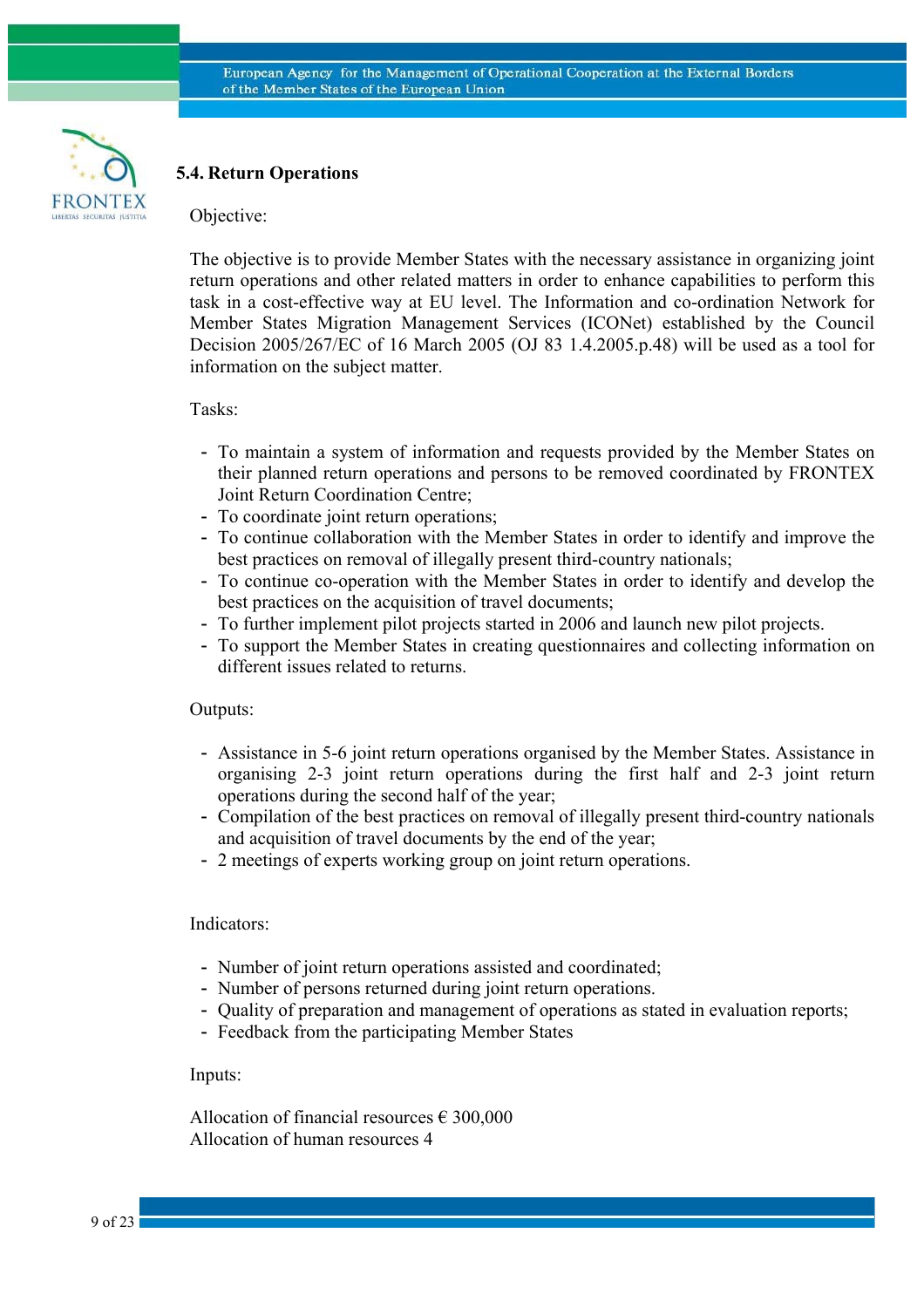

### **5.4. Return Operations**

#### Objective:

The objective is to provide Member States with the necessary assistance in organizing joint return operations and other related matters in order to enhance capabilities to perform this task in a cost-effective way at EU level. The Information and co-ordination Network for Member States Migration Management Services (ICONet) established by the Council Decision 2005/267/EC of 16 March 2005 (OJ 83 1.4.2005.p.48) will be used as a tool for information on the subject matter.

#### Tasks:

- To maintain a system of information and requests provided by the Member States on their planned return operations and persons to be removed coordinated by FRONTEX Joint Return Coordination Centre;
- To coordinate joint return operations;
- To continue collaboration with the Member States in order to identify and improve the best practices on removal of illegally present third-country nationals;
- To continue co-operation with the Member States in order to identify and develop the best practices on the acquisition of travel documents;
- To further implement pilot projects started in 2006 and launch new pilot projects.
- To support the Member States in creating questionnaires and collecting information on different issues related to returns.

#### Outputs:

- Assistance in 5-6 joint return operations organised by the Member States. Assistance in organising 2-3 joint return operations during the first half and 2-3 joint return operations during the second half of the year;
- Compilation of the best practices on removal of illegally present third-country nationals and acquisition of travel documents by the end of the year;
- 2 meetings of experts working group on joint return operations.

#### Indicators:

- Number of joint return operations assisted and coordinated;
- Number of persons returned during joint return operations.
- Quality of preparation and management of operations as stated in evaluation reports;
- Feedback from the participating Member States

#### Inputs:

Allocation of financial resources  $\epsilon$  300,000 Allocation of human resources 4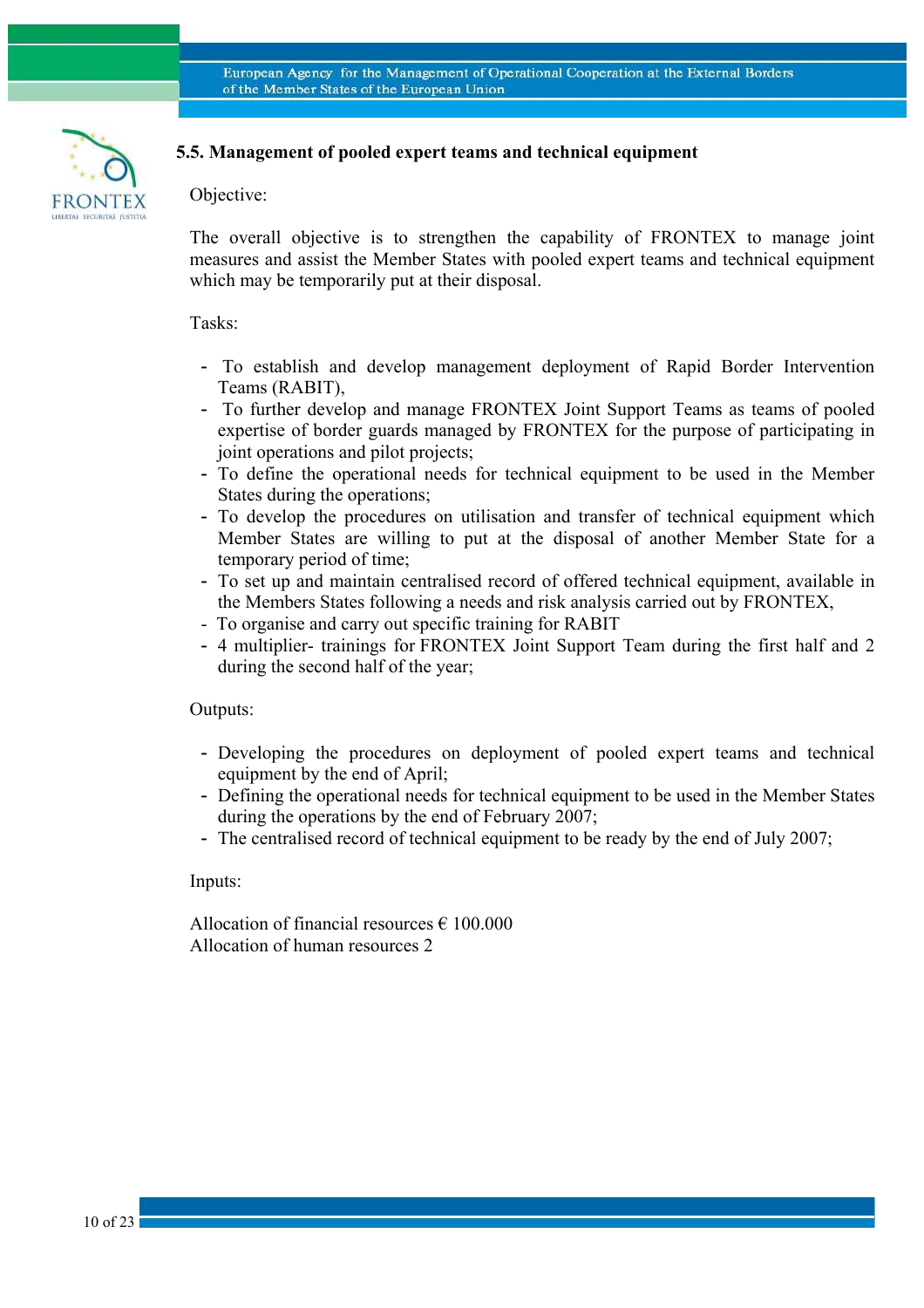

# **5.5. Management of pooled expert teams and technical equipment**

### Objective:

The overall objective is to strengthen the capability of FRONTEX to manage joint measures and assist the Member States with pooled expert teams and technical equipment which may be temporarily put at their disposal.

#### Tasks:

- To establish and develop management deployment of Rapid Border Intervention Teams (RABIT),
- To further develop and manage FRONTEX Joint Support Teams as teams of pooled expertise of border guards managed by FRONTEX for the purpose of participating in joint operations and pilot projects;
- To define the operational needs for technical equipment to be used in the Member States during the operations;
- To develop the procedures on utilisation and transfer of technical equipment which Member States are willing to put at the disposal of another Member State for a temporary period of time;
- To set up and maintain centralised record of offered technical equipment, available in the Members States following a needs and risk analysis carried out by FRONTEX,
- To organise and carry out specific training for RABIT
- 4 multiplier- trainings for FRONTEX Joint Support Team during the first half and 2 during the second half of the year;

Outputs:

- Developing the procedures on deployment of pooled expert teams and technical equipment by the end of April;
- Defining the operational needs for technical equipment to be used in the Member States during the operations by the end of February 2007;
- The centralised record of technical equipment to be ready by the end of July 2007;

Inputs:

Allocation of financial resources  $\epsilon$  100.000 Allocation of human resources 2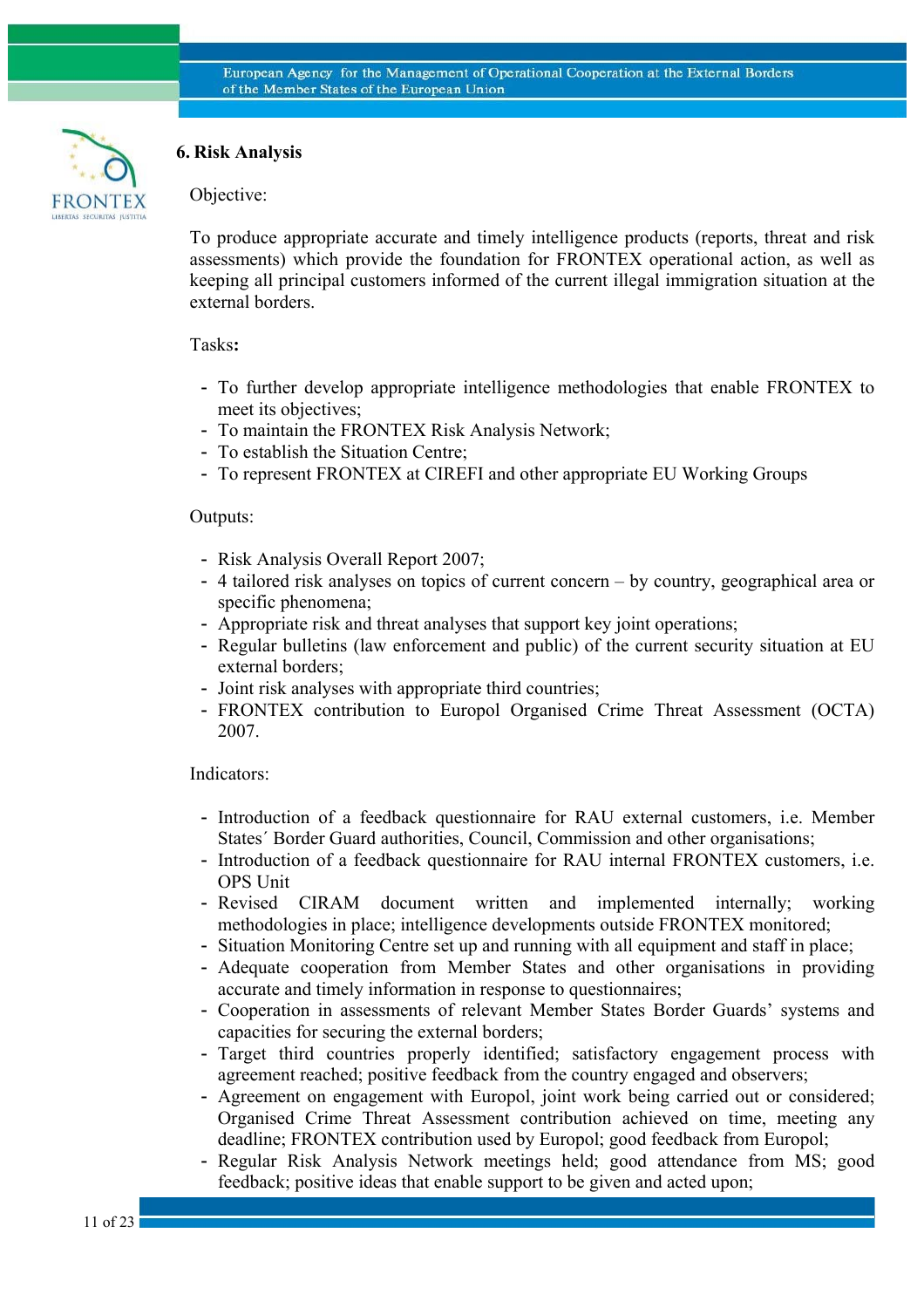

# **6. Risk Analysis**

### Objective:

To produce appropriate accurate and timely intelligence products (reports, threat and risk assessments) which provide the foundation for FRONTEX operational action, as well as keeping all principal customers informed of the current illegal immigration situation at the external borders.

### Tasks**:**

- To further develop appropriate intelligence methodologies that enable FRONTEX to meet its objectives;
- To maintain the FRONTEX Risk Analysis Network;
- To establish the Situation Centre;
- To represent FRONTEX at CIREFI and other appropriate EU Working Groups

### Outputs:

- Risk Analysis Overall Report 2007;
- 4 tailored risk analyses on topics of current concern by country, geographical area or specific phenomena;
- Appropriate risk and threat analyses that support key joint operations;
- Regular bulletins (law enforcement and public) of the current security situation at EU external borders;
- Joint risk analyses with appropriate third countries;
- FRONTEX contribution to Europol Organised Crime Threat Assessment (OCTA) 2007.

#### Indicators:

- Introduction of a feedback questionnaire for RAU external customers, i.e. Member States´ Border Guard authorities, Council, Commission and other organisations;
- Introduction of a feedback questionnaire for RAU internal FRONTEX customers, i.e. OPS Unit
- Revised CIRAM document written and implemented internally; working methodologies in place; intelligence developments outside FRONTEX monitored;
- Situation Monitoring Centre set up and running with all equipment and staff in place;
- Adequate cooperation from Member States and other organisations in providing accurate and timely information in response to questionnaires;
- Cooperation in assessments of relevant Member States Border Guards' systems and capacities for securing the external borders;
- Target third countries properly identified; satisfactory engagement process with agreement reached; positive feedback from the country engaged and observers;
- Agreement on engagement with Europol, joint work being carried out or considered; Organised Crime Threat Assessment contribution achieved on time, meeting any deadline; FRONTEX contribution used by Europol; good feedback from Europol;
- Regular Risk Analysis Network meetings held; good attendance from MS; good feedback; positive ideas that enable support to be given and acted upon;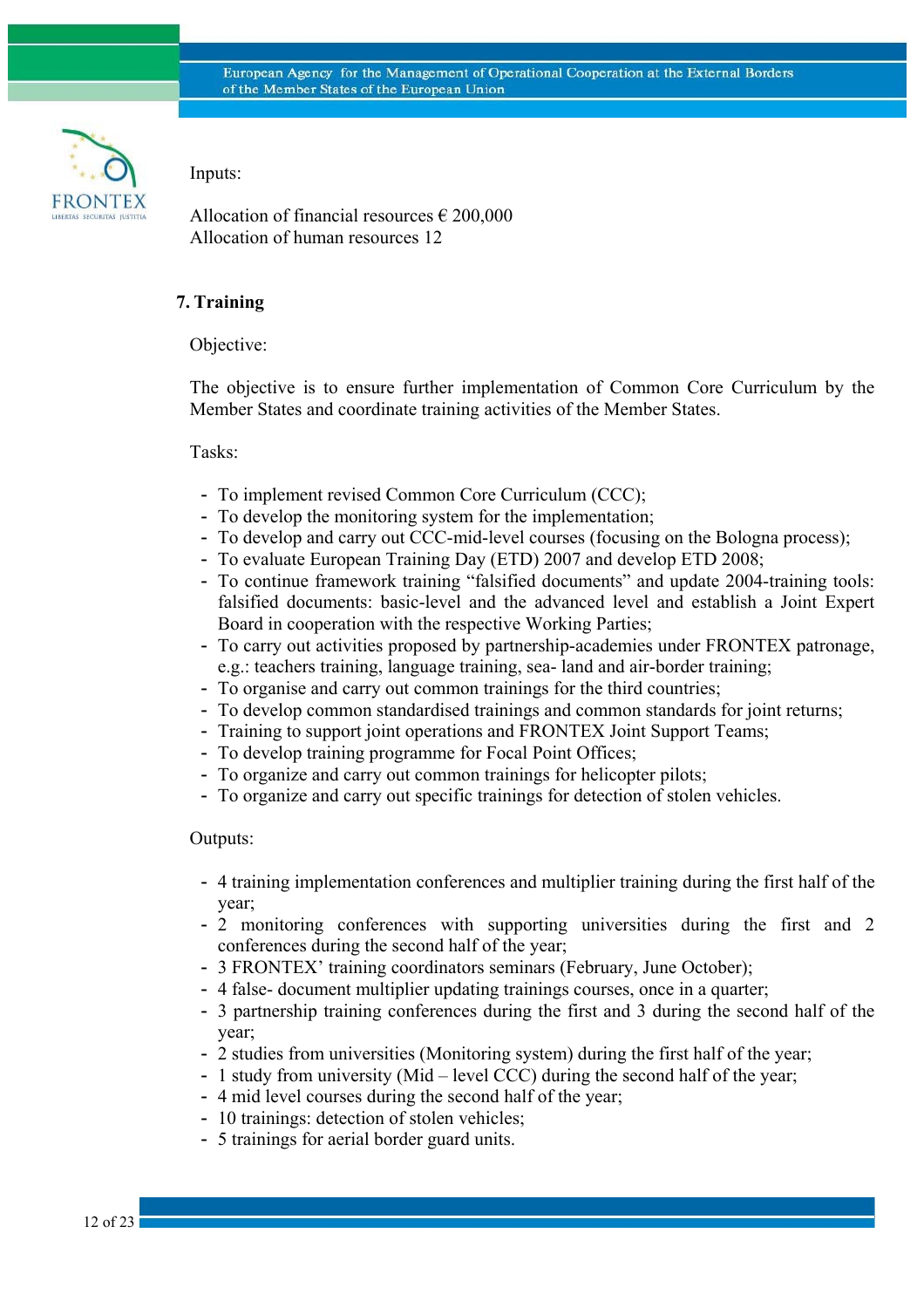

Inputs:

Allocation of financial resources  $\epsilon$  200,000 Allocation of human resources 12

### **7. Training**

Objective:

The objective is to ensure further implementation of Common Core Curriculum by the Member States and coordinate training activities of the Member States.

### Tasks:

- To implement revised Common Core Curriculum (CCC);
- To develop the monitoring system for the implementation;
- To develop and carry out CCC-mid-level courses (focusing on the Bologna process);
- To evaluate European Training Day (ETD) 2007 and develop ETD 2008;
- To continue framework training "falsified documents" and update 2004-training tools: falsified documents: basic-level and the advanced level and establish a Joint Expert Board in cooperation with the respective Working Parties;
- To carry out activities proposed by partnership-academies under FRONTEX patronage, e.g.: teachers training, language training, sea- land and air-border training;
- To organise and carry out common trainings for the third countries;
- To develop common standardised trainings and common standards for joint returns;
- Training to support joint operations and FRONTEX Joint Support Teams;
- To develop training programme for Focal Point Offices;
- To organize and carry out common trainings for helicopter pilots;
- To organize and carry out specific trainings for detection of stolen vehicles.

#### Outputs:

- 4 training implementation conferences and multiplier training during the first half of the year;
- 2 monitoring conferences with supporting universities during the first and 2 conferences during the second half of the year;
- 3 FRONTEX' training coordinators seminars (February, June October);
- 4 false- document multiplier updating trainings courses, once in a quarter;
- 3 partnership training conferences during the first and 3 during the second half of the year;
- 2 studies from universities (Monitoring system) during the first half of the year;
- 1 study from university (Mid level CCC) during the second half of the year;
- 4 mid level courses during the second half of the year;
- 10 trainings: detection of stolen vehicles;
- 5 trainings for aerial border guard units.

12 of 23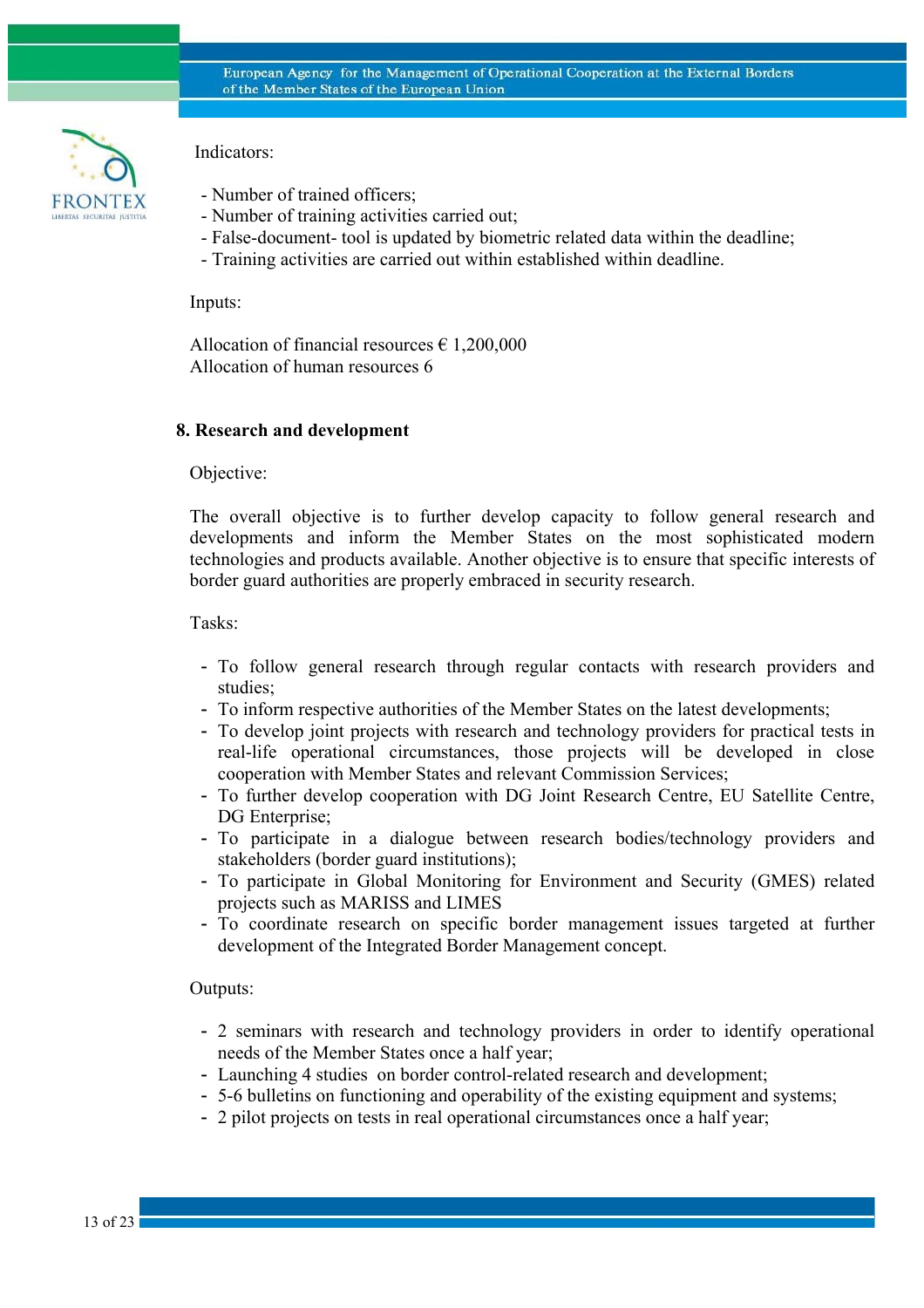

Indicators:

- Number of trained officers;
- Number of training activities carried out;
- False-document- tool is updated by biometric related data within the deadline;
- Training activities are carried out within established within deadline.

Inputs:

Allocation of financial resources  $\epsilon$  1.200,000 Allocation of human resources 6

### **8. Research and development**

Objective:

The overall objective is to further develop capacity to follow general research and developments and inform the Member States on the most sophisticated modern technologies and products available. Another objective is to ensure that specific interests of border guard authorities are properly embraced in security research.

Tasks:

- To follow general research through regular contacts with research providers and studies;
- To inform respective authorities of the Member States on the latest developments;
- To develop joint projects with research and technology providers for practical tests in real-life operational circumstances, those projects will be developed in close cooperation with Member States and relevant Commission Services;
- To further develop cooperation with DG Joint Research Centre, EU Satellite Centre, DG Enterprise;
- To participate in a dialogue between research bodies/technology providers and stakeholders (border guard institutions);
- To participate in Global Monitoring for Environment and Security (GMES) related projects such as MARISS and LIMES
- To coordinate research on specific border management issues targeted at further development of the Integrated Border Management concept.

Outputs:

- 2 seminars with research and technology providers in order to identify operational needs of the Member States once a half year;
- Launching 4 studies on border control-related research and development;
- 5-6 bulletins on functioning and operability of the existing equipment and systems;
- 2 pilot projects on tests in real operational circumstances once a half year;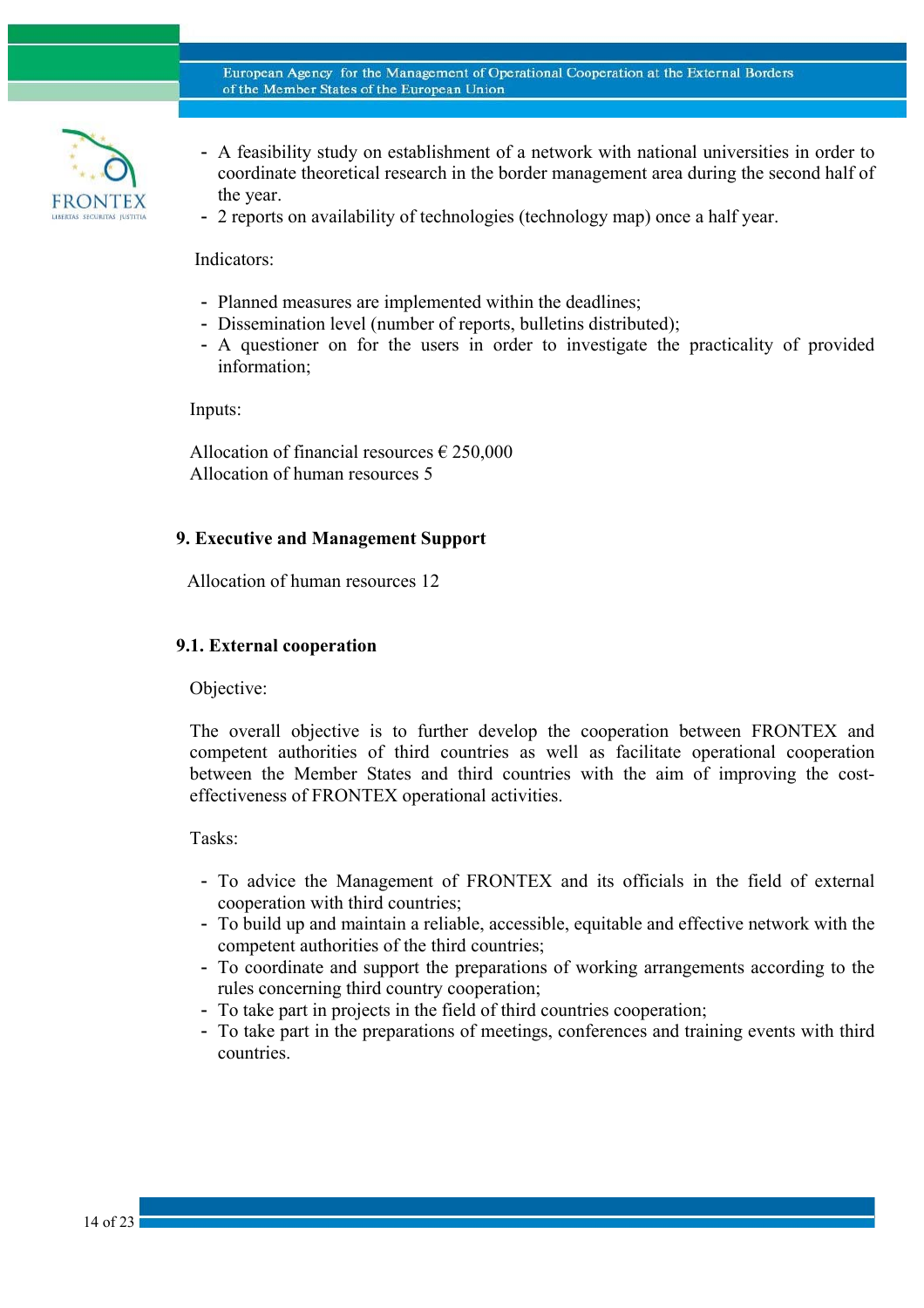

- A feasibility study on establishment of a network with national universities in order to coordinate theoretical research in the border management area during the second half of the year.
- 2 reports on availability of technologies (technology map) once a half year.

Indicators:

- Planned measures are implemented within the deadlines;
- Dissemination level (number of reports, bulletins distributed);
- A questioner on for the users in order to investigate the practicality of provided information;

Inputs:

Allocation of financial resources  $\epsilon$  250,000 Allocation of human resources 5

### **9. Executive and Management Support**

Allocation of human resources 12

### **9.1. External cooperation**

Objective:

The overall objective is to further develop the cooperation between FRONTEX and competent authorities of third countries as well as facilitate operational cooperation between the Member States and third countries with the aim of improving the costeffectiveness of FRONTEX operational activities.

Tasks:

- To advice the Management of FRONTEX and its officials in the field of external cooperation with third countries;
- To build up and maintain a reliable, accessible, equitable and effective network with the competent authorities of the third countries;
- To coordinate and support the preparations of working arrangements according to the rules concerning third country cooperation;
- To take part in projects in the field of third countries cooperation;
- To take part in the preparations of meetings, conferences and training events with third countries.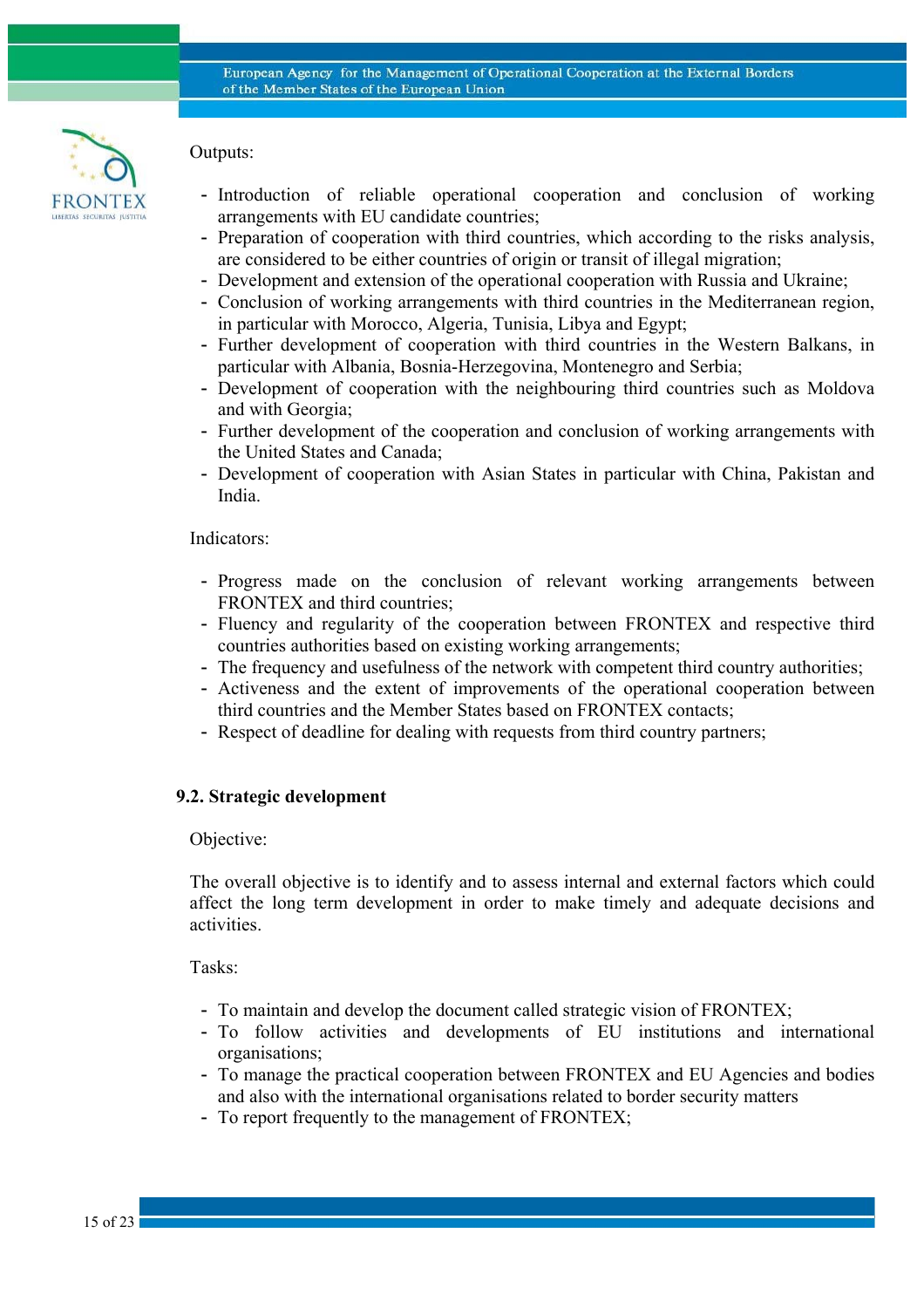

Outputs:

- Introduction of reliable operational cooperation and conclusion of working arrangements with EU candidate countries;
- Preparation of cooperation with third countries, which according to the risks analysis, are considered to be either countries of origin or transit of illegal migration;
- Development and extension of the operational cooperation with Russia and Ukraine;
- Conclusion of working arrangements with third countries in the Mediterranean region, in particular with Morocco, Algeria, Tunisia, Libya and Egypt;
- Further development of cooperation with third countries in the Western Balkans, in particular with Albania, Bosnia-Herzegovina, Montenegro and Serbia;
- Development of cooperation with the neighbouring third countries such as Moldova and with Georgia;
- Further development of the cooperation and conclusion of working arrangements with the United States and Canada;
- Development of cooperation with Asian States in particular with China, Pakistan and India.

### Indicators:

- Progress made on the conclusion of relevant working arrangements between FRONTEX and third countries;
- Fluency and regularity of the cooperation between FRONTEX and respective third countries authorities based on existing working arrangements;
- The frequency and usefulness of the network with competent third country authorities;
- Activeness and the extent of improvements of the operational cooperation between third countries and the Member States based on FRONTEX contacts;
- Respect of deadline for dealing with requests from third country partners;

### **9.2. Strategic development**

#### Objective:

The overall objective is to identify and to assess internal and external factors which could affect the long term development in order to make timely and adequate decisions and activities.

Tasks:

- To maintain and develop the document called strategic vision of FRONTEX;
- To follow activities and developments of EU institutions and international organisations;
- To manage the practical cooperation between FRONTEX and EU Agencies and bodies and also with the international organisations related to border security matters
- To report frequently to the management of FRONTEX;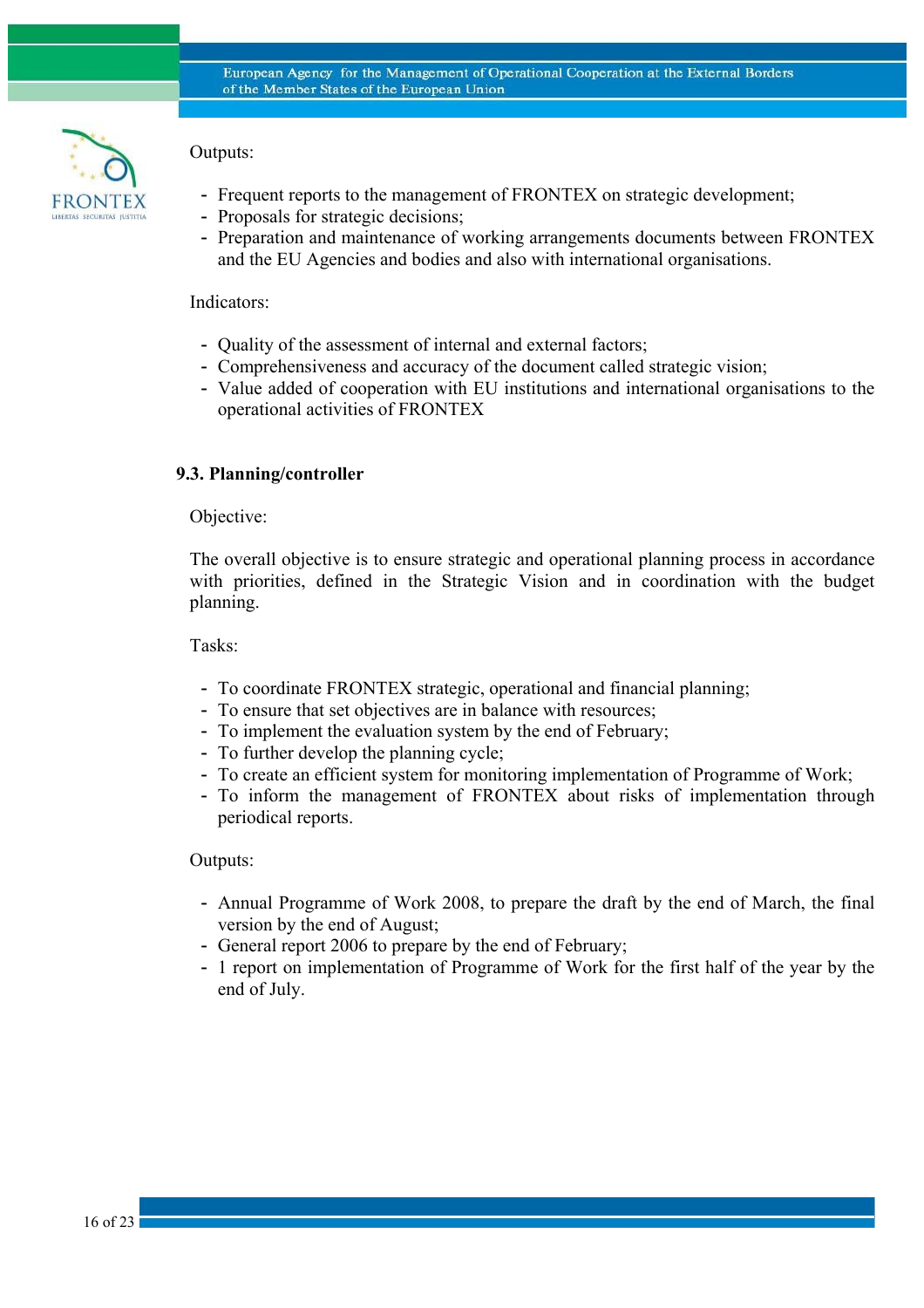

# Outputs:

- Frequent reports to the management of FRONTEX on strategic development;
- Proposals for strategic decisions;
- Preparation and maintenance of working arrangements documents between FRONTEX and the EU Agencies and bodies and also with international organisations.

### Indicators:

- Quality of the assessment of internal and external factors;
- Comprehensiveness and accuracy of the document called strategic vision;
- Value added of cooperation with EU institutions and international organisations to the operational activities of FRONTEX

### **9.3. Planning/controller**

#### Objective:

The overall objective is to ensure strategic and operational planning process in accordance with priorities, defined in the Strategic Vision and in coordination with the budget planning.

Tasks:

- To coordinate FRONTEX strategic, operational and financial planning;
- To ensure that set objectives are in balance with resources;
- To implement the evaluation system by the end of February;
- To further develop the planning cycle;
- To create an efficient system for monitoring implementation of Programme of Work;
- To inform the management of FRONTEX about risks of implementation through periodical reports.

#### Outputs:

- Annual Programme of Work 2008, to prepare the draft by the end of March, the final version by the end of August;
- General report 2006 to prepare by the end of February;
- 1 report on implementation of Programme of Work for the first half of the year by the end of July.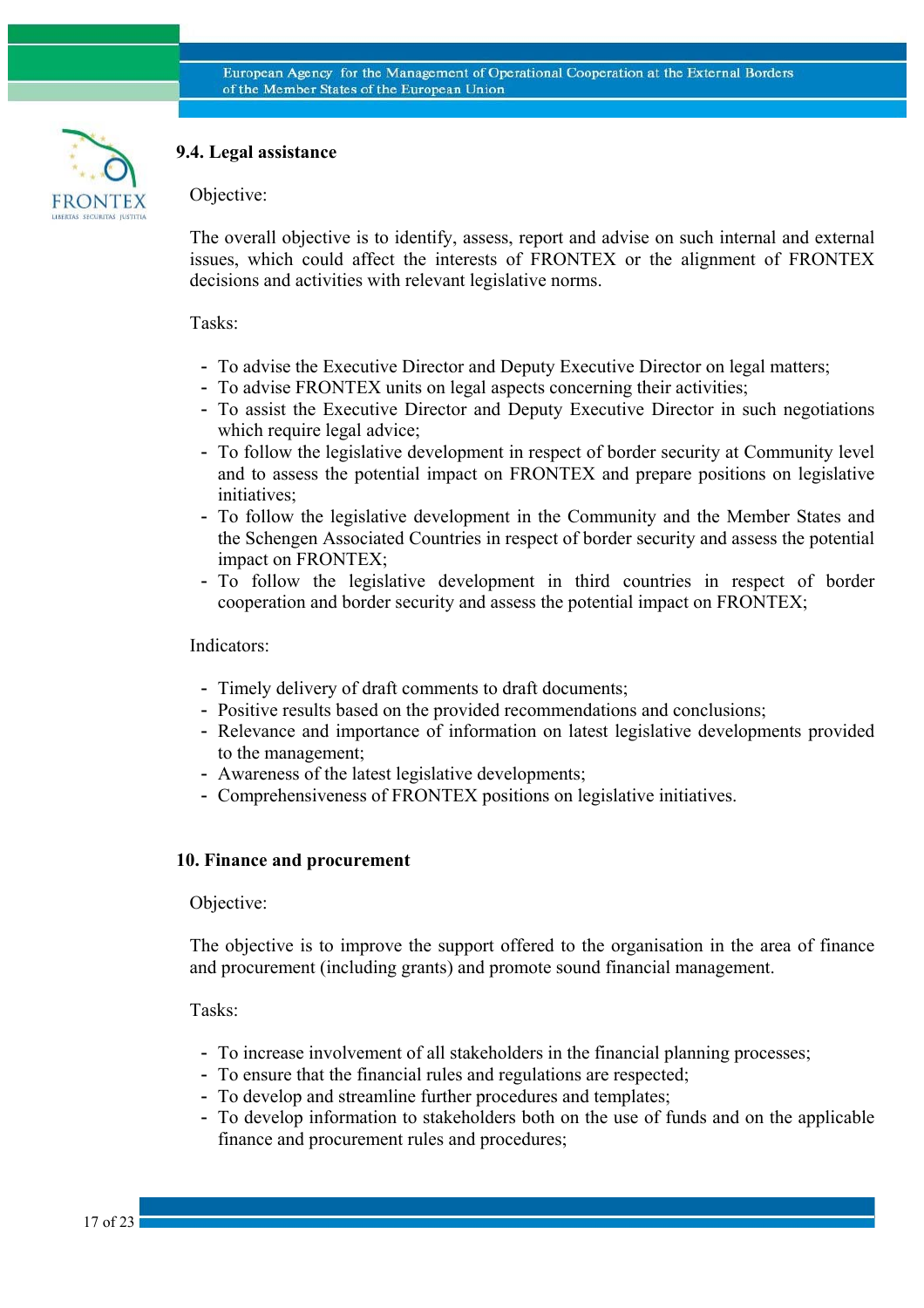

# **9.4. Legal assistance**

Objective:

The overall objective is to identify, assess, report and advise on such internal and external issues, which could affect the interests of FRONTEX or the alignment of FRONTEX decisions and activities with relevant legislative norms.

#### Tasks:

- To advise the Executive Director and Deputy Executive Director on legal matters;
- To advise FRONTEX units on legal aspects concerning their activities;
- To assist the Executive Director and Deputy Executive Director in such negotiations which require legal advice;
- To follow the legislative development in respect of border security at Community level and to assess the potential impact on FRONTEX and prepare positions on legislative initiatives;
- To follow the legislative development in the Community and the Member States and the Schengen Associated Countries in respect of border security and assess the potential impact on FRONTEX;
- To follow the legislative development in third countries in respect of border cooperation and border security and assess the potential impact on FRONTEX;

#### Indicators:

- Timely delivery of draft comments to draft documents;
- Positive results based on the provided recommendations and conclusions;
- Relevance and importance of information on latest legislative developments provided to the management;
- Awareness of the latest legislative developments;
- Comprehensiveness of FRONTEX positions on legislative initiatives.

# **10. Finance and procurement**

#### Objective:

The objective is to improve the support offered to the organisation in the area of finance and procurement (including grants) and promote sound financial management.

Tasks:

- To increase involvement of all stakeholders in the financial planning processes;
- To ensure that the financial rules and regulations are respected;
- To develop and streamline further procedures and templates;
- To develop information to stakeholders both on the use of funds and on the applicable finance and procurement rules and procedures;

17 of 23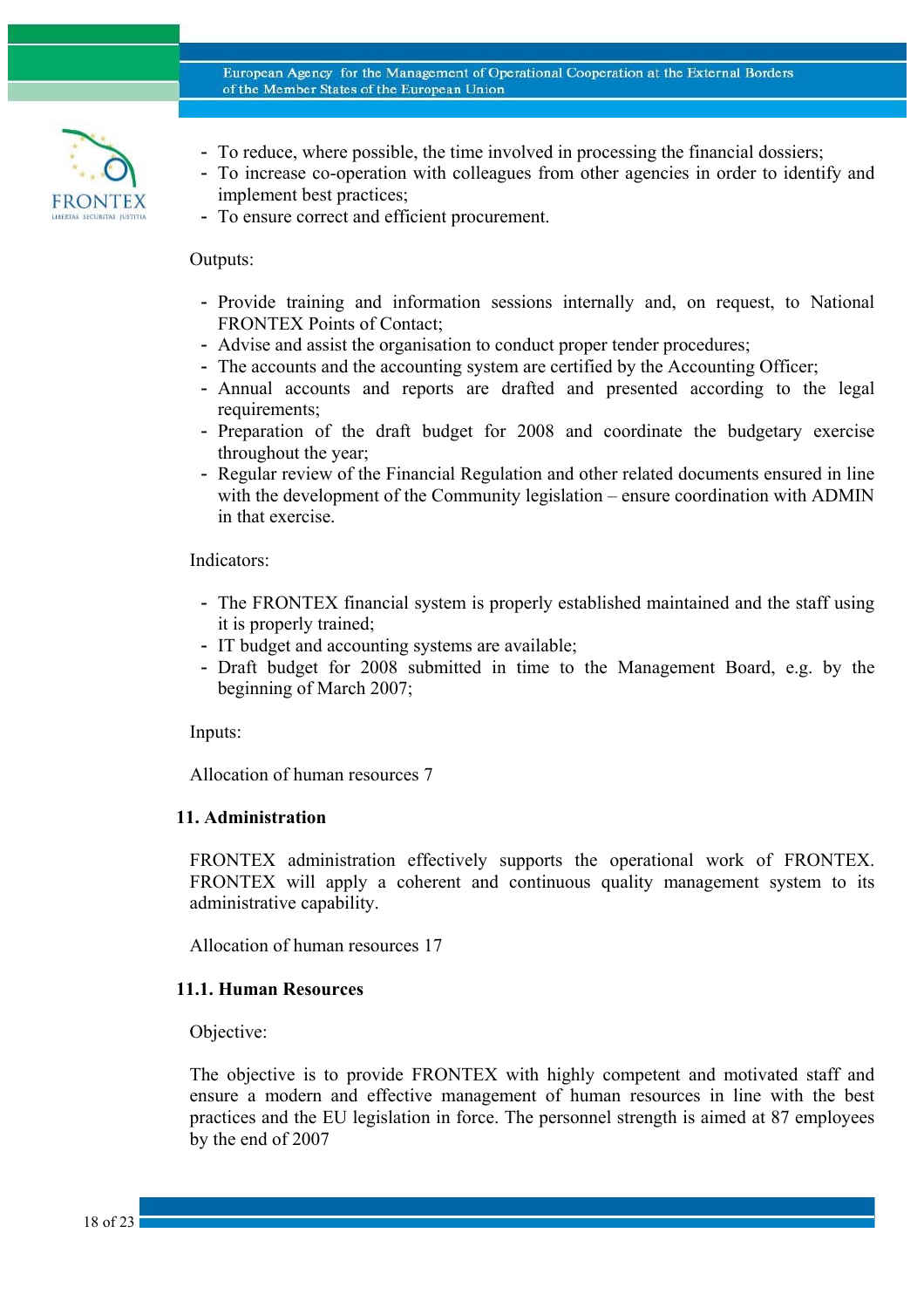

- To reduce, where possible, the time involved in processing the financial dossiers;
- To increase co-operation with colleagues from other agencies in order to identify and implement best practices;
- To ensure correct and efficient procurement.

#### Outputs:

- Provide training and information sessions internally and, on request, to National FRONTEX Points of Contact;
- Advise and assist the organisation to conduct proper tender procedures;
- The accounts and the accounting system are certified by the Accounting Officer;
- Annual accounts and reports are drafted and presented according to the legal requirements;
- Preparation of the draft budget for 2008 and coordinate the budgetary exercise throughout the year;
- Regular review of the Financial Regulation and other related documents ensured in line with the development of the Community legislation – ensure coordination with ADMIN in that exercise.

### Indicators:

- The FRONTEX financial system is properly established maintained and the staff using it is properly trained;
- IT budget and accounting systems are available;
- Draft budget for 2008 submitted in time to the Management Board, e.g. by the beginning of March 2007;

Inputs:

Allocation of human resources 7

#### **11. Administration**

FRONTEX administration effectively supports the operational work of FRONTEX. FRONTEX will apply a coherent and continuous quality management system to its administrative capability.

Allocation of human resources 17

#### **11.1. Human Resources**

Objective:

The objective is to provide FRONTEX with highly competent and motivated staff and ensure a modern and effective management of human resources in line with the best practices and the EU legislation in force. The personnel strength is aimed at 87 employees by the end of 2007

18 of 23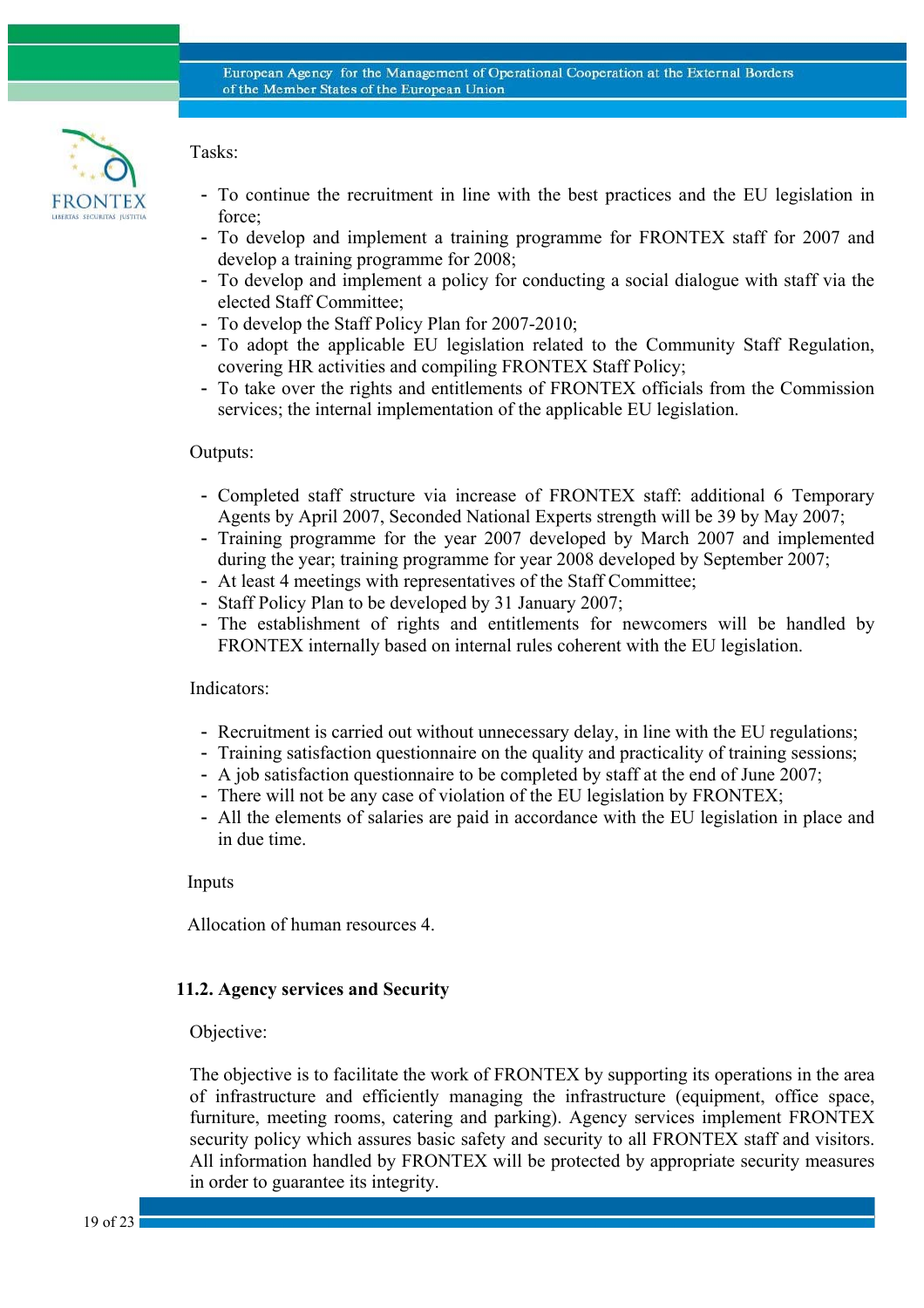

### Tasks:

- To continue the recruitment in line with the best practices and the EU legislation in force;
- To develop and implement a training programme for FRONTEX staff for 2007 and develop a training programme for 2008;
- To develop and implement a policy for conducting a social dialogue with staff via the elected Staff Committee;
- To develop the Staff Policy Plan for 2007-2010;
- To adopt the applicable EU legislation related to the Community Staff Regulation, covering HR activities and compiling FRONTEX Staff Policy;
- To take over the rights and entitlements of FRONTEX officials from the Commission services; the internal implementation of the applicable EU legislation.

### Outputs:

- Completed staff structure via increase of FRONTEX staff: additional 6 Temporary Agents by April 2007, Seconded National Experts strength will be 39 by May 2007;
- Training programme for the year 2007 developed by March 2007 and implemented during the year; training programme for year 2008 developed by September 2007;
- At least 4 meetings with representatives of the Staff Committee;
- Staff Policy Plan to be developed by 31 January 2007;
- The establishment of rights and entitlements for newcomers will be handled by FRONTEX internally based on internal rules coherent with the EU legislation.

### Indicators:

- Recruitment is carried out without unnecessary delay, in line with the EU regulations;
- Training satisfaction questionnaire on the quality and practicality of training sessions;
- A job satisfaction questionnaire to be completed by staff at the end of June 2007;
- There will not be any case of violation of the EU legislation by FRONTEX;
- All the elements of salaries are paid in accordance with the EU legislation in place and in due time.

Inputs

Allocation of human resources 4.

### **11.2. Agency services and Security**

Objective:

The objective is to facilitate the work of FRONTEX by supporting its operations in the area of infrastructure and efficiently managing the infrastructure (equipment, office space, furniture, meeting rooms, catering and parking). Agency services implement FRONTEX security policy which assures basic safety and security to all FRONTEX staff and visitors. All information handled by FRONTEX will be protected by appropriate security measures in order to guarantee its integrity.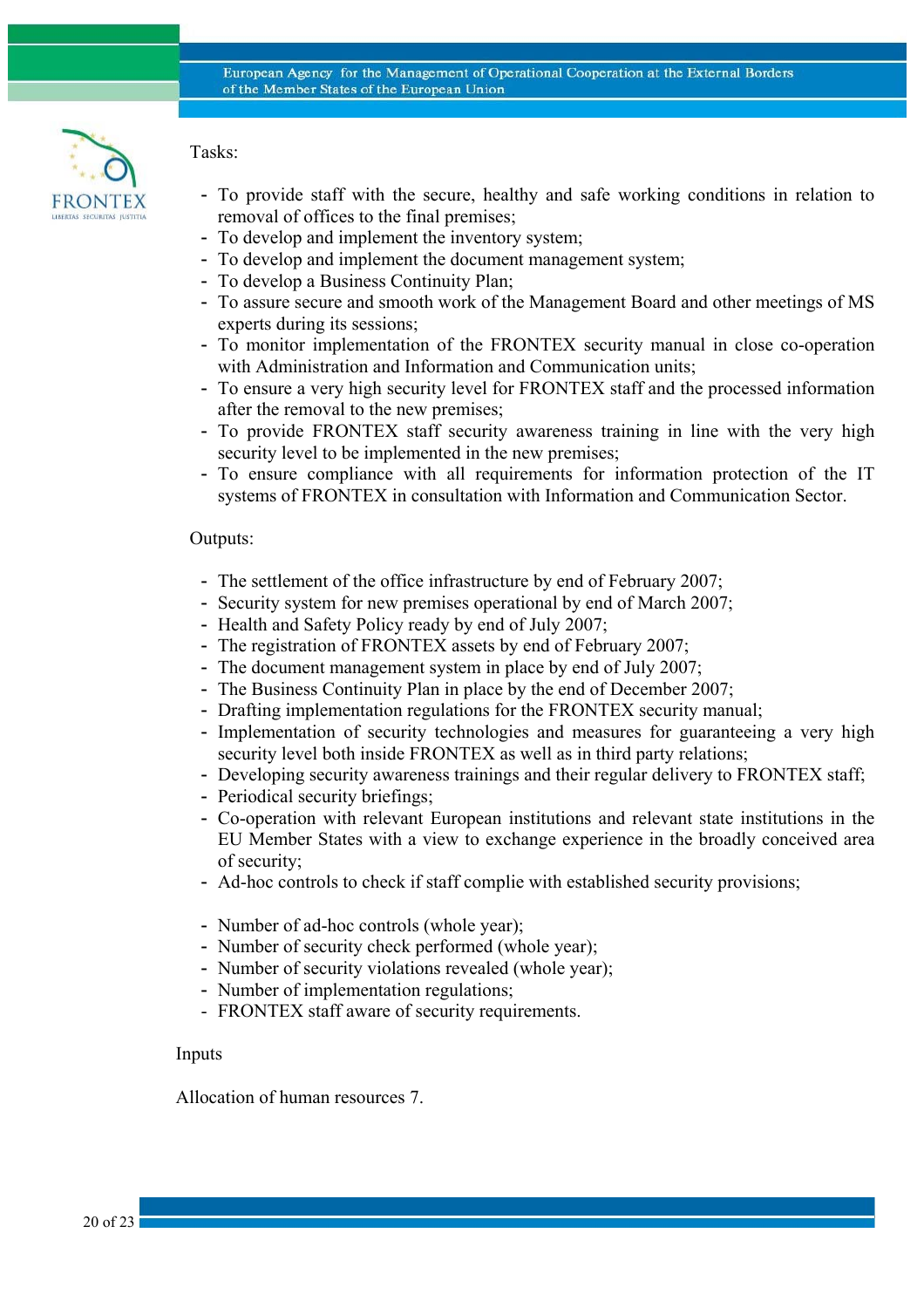

Tasks:

- To provide staff with the secure, healthy and safe working conditions in relation to removal of offices to the final premises;
- To develop and implement the inventory system;
- To develop and implement the document management system;
- To develop a Business Continuity Plan;
- To assure secure and smooth work of the Management Board and other meetings of MS experts during its sessions;
- To monitor implementation of the FRONTEX security manual in close co-operation with Administration and Information and Communication units;
- To ensure a very high security level for FRONTEX staff and the processed information after the removal to the new premises;
- To provide FRONTEX staff security awareness training in line with the very high security level to be implemented in the new premises;
- To ensure compliance with all requirements for information protection of the IT systems of FRONTEX in consultation with Information and Communication Sector.

### Outputs:

- The settlement of the office infrastructure by end of February 2007;
- Security system for new premises operational by end of March 2007;
- Health and Safety Policy ready by end of July 2007;
- The registration of FRONTEX assets by end of February 2007;
- The document management system in place by end of July 2007;
- The Business Continuity Plan in place by the end of December 2007;
- Drafting implementation regulations for the FRONTEX security manual;
- Implementation of security technologies and measures for guaranteeing a very high security level both inside FRONTEX as well as in third party relations;
- Developing security awareness trainings and their regular delivery to FRONTEX staff;
- Periodical security briefings;
- Co-operation with relevant European institutions and relevant state institutions in the EU Member States with a view to exchange experience in the broadly conceived area of security;
- Ad-hoc controls to check if staff complie with established security provisions;
- Number of ad-hoc controls (whole year);
- Number of security check performed (whole year);
- Number of security violations revealed (whole year);
- Number of implementation regulations;
- FRONTEX staff aware of security requirements.

#### Inputs

Allocation of human resources 7.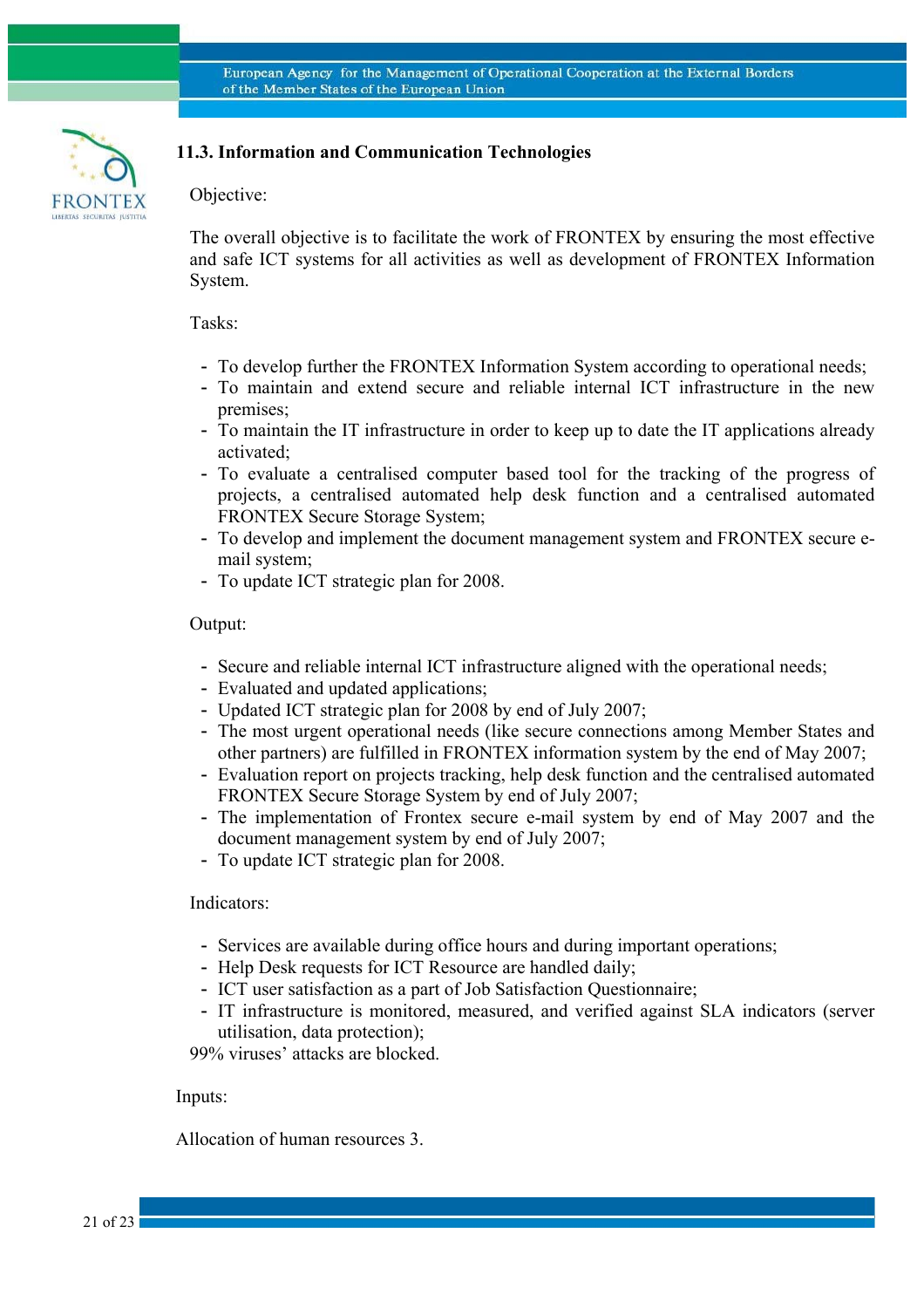

### **11.3. Information and Communication Technologies**

### Objective:

The overall objective is to facilitate the work of FRONTEX by ensuring the most effective and safe ICT systems for all activities as well as development of FRONTEX Information System.

#### Tasks:

- To develop further the FRONTEX Information System according to operational needs;
- To maintain and extend secure and reliable internal ICT infrastructure in the new premises;
- To maintain the IT infrastructure in order to keep up to date the IT applications already activated;
- To evaluate a centralised computer based tool for the tracking of the progress of projects, a centralised automated help desk function and a centralised automated FRONTEX Secure Storage System;
- To develop and implement the document management system and FRONTEX secure email system;
- To update ICT strategic plan for 2008.

#### Output:

- Secure and reliable internal ICT infrastructure aligned with the operational needs;
- Evaluated and updated applications;
- Updated ICT strategic plan for 2008 by end of July 2007;
- The most urgent operational needs (like secure connections among Member States and other partners) are fulfilled in FRONTEX information system by the end of May 2007;
- Evaluation report on projects tracking, help desk function and the centralised automated FRONTEX Secure Storage System by end of July 2007;
- The implementation of Frontex secure e-mail system by end of May 2007 and the document management system by end of July 2007;
- To update ICT strategic plan for 2008.

#### Indicators:

- Services are available during office hours and during important operations;
- Help Desk requests for ICT Resource are handled daily;
- ICT user satisfaction as a part of Job Satisfaction Questionnaire;
- IT infrastructure is monitored, measured, and verified against SLA indicators (server utilisation, data protection);

99% viruses' attacks are blocked.

#### Inputs:

Allocation of human resources 3.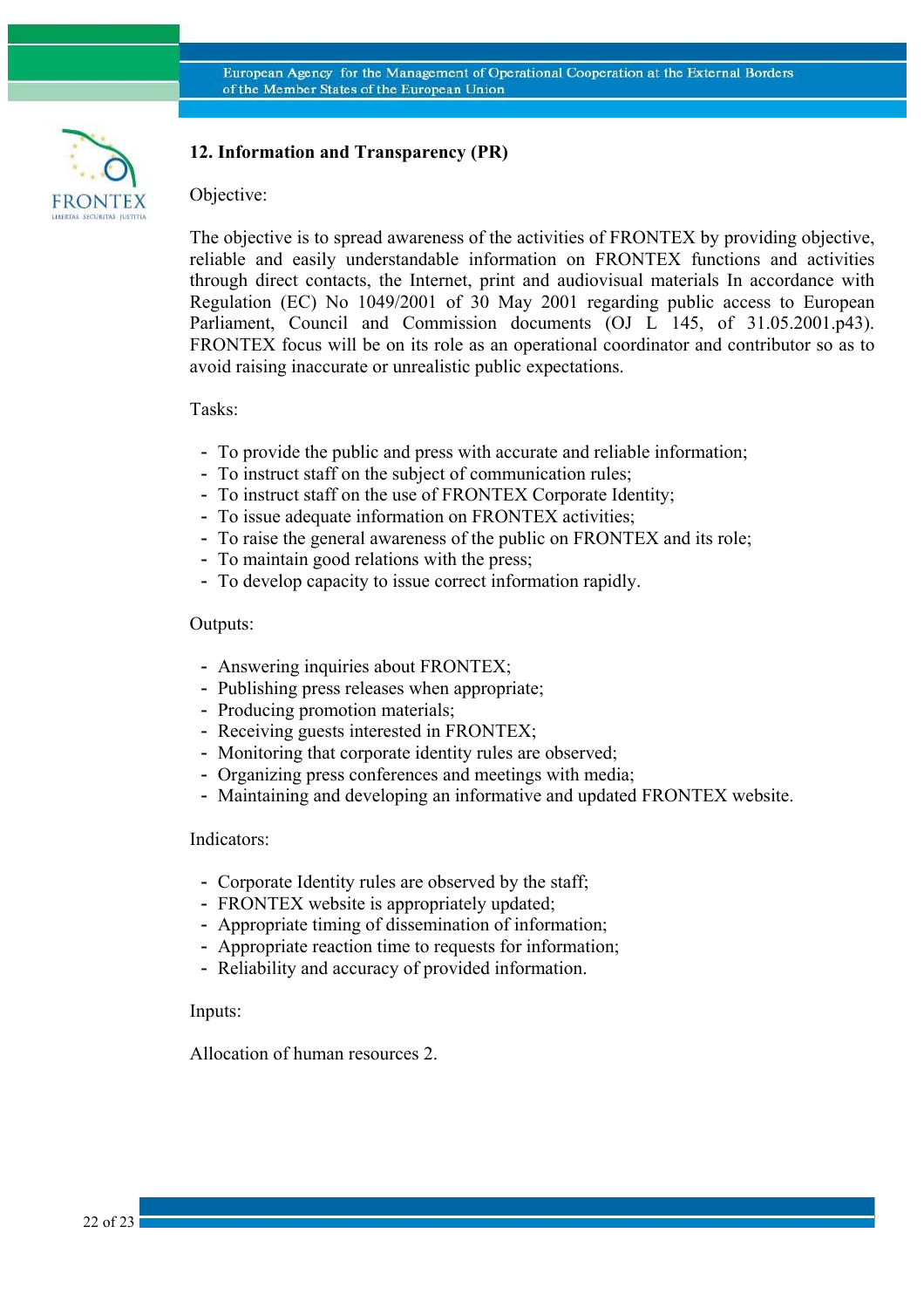

# **12. Information and Transparency (PR)**

#### Objective:

The objective is to spread awareness of the activities of FRONTEX by providing objective, reliable and easily understandable information on FRONTEX functions and activities through direct contacts, the Internet, print and audiovisual materials In accordance with Regulation (EC) No 1049/2001 of 30 May 2001 regarding public access to European Parliament, Council and Commission documents (OJ L 145, of 31.05.2001.p43). FRONTEX focus will be on its role as an operational coordinator and contributor so as to avoid raising inaccurate or unrealistic public expectations.

Tasks:

- To provide the public and press with accurate and reliable information;
- To instruct staff on the subject of communication rules;
- To instruct staff on the use of FRONTEX Corporate Identity;
- To issue adequate information on FRONTEX activities;
- To raise the general awareness of the public on FRONTEX and its role;
- To maintain good relations with the press;
- To develop capacity to issue correct information rapidly.

#### Outputs:

- Answering inquiries about FRONTEX;
- Publishing press releases when appropriate;
- Producing promotion materials;
- Receiving guests interested in FRONTEX;
- Monitoring that corporate identity rules are observed;
- Organizing press conferences and meetings with media;
- Maintaining and developing an informative and updated FRONTEX website.

#### Indicators:

- Corporate Identity rules are observed by the staff;
- FRONTEX website is appropriately updated;
- Appropriate timing of dissemination of information;
- Appropriate reaction time to requests for information;
- Reliability and accuracy of provided information.

#### Inputs:

Allocation of human resources 2.